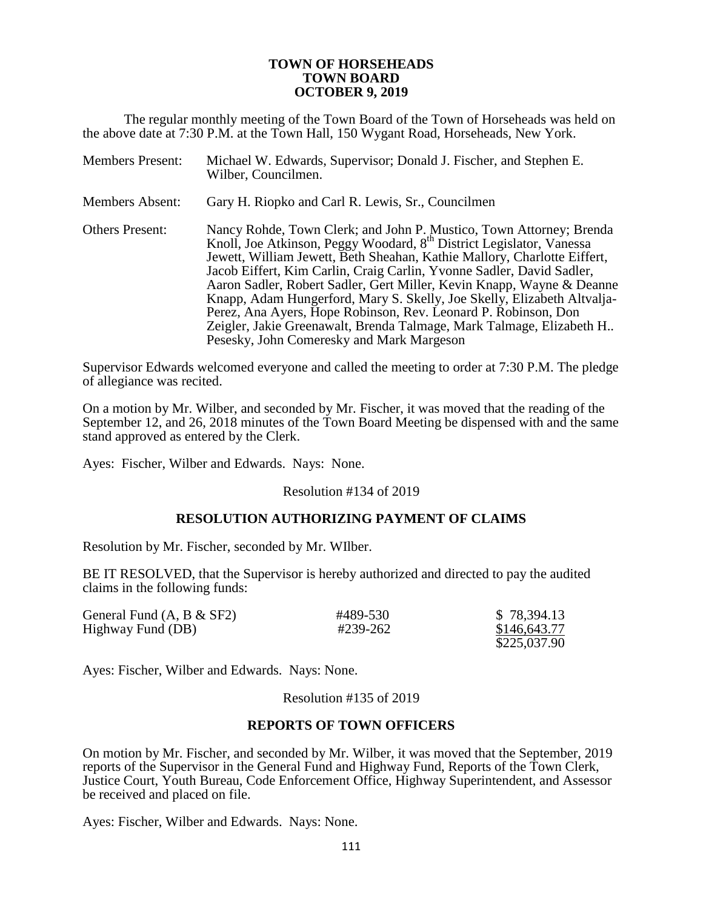#### **TOWN OF HORSEHEADS TOWN BOARD OCTOBER 9, 2019**

The regular monthly meeting of the Town Board of the Town of Horseheads was held on the above date at 7:30 P.M. at the Town Hall, 150 Wygant Road, Horseheads, New York.

| <b>Members Present:</b> | Michael W. Edwards, Supervisor; Donald J. Fischer, and Stephen E.<br>Wilber, Councilmen.                                                                                                                                                                                                                                                                                                                                                                                                                                                                                                                                                                |
|-------------------------|---------------------------------------------------------------------------------------------------------------------------------------------------------------------------------------------------------------------------------------------------------------------------------------------------------------------------------------------------------------------------------------------------------------------------------------------------------------------------------------------------------------------------------------------------------------------------------------------------------------------------------------------------------|
| <b>Members Absent:</b>  | Gary H. Riopko and Carl R. Lewis, Sr., Councilmen                                                                                                                                                                                                                                                                                                                                                                                                                                                                                                                                                                                                       |
| <b>Others Present:</b>  | Nancy Rohde, Town Clerk; and John P. Mustico, Town Attorney; Brenda<br>Knoll, Joe Atkinson, Peggy Woodard, 8 <sup>th</sup> District Legislator, Vanessa<br>Jewett, William Jewett, Beth Sheahan, Kathie Mallory, Charlotte Eiffert,<br>Jacob Eiffert, Kim Carlin, Craig Carlin, Yvonne Sadler, David Sadler,<br>Aaron Sadler, Robert Sadler, Gert Miller, Kevin Knapp, Wayne & Deanne<br>Knapp, Adam Hungerford, Mary S. Skelly, Joe Skelly, Elizabeth Altvalja-<br>Perez, Ana Ayers, Hope Robinson, Rev. Leonard P. Robinson, Don<br>Zeigler, Jakie Greenawalt, Brenda Talmage, Mark Talmage, Elizabeth H<br>Pesesky, John Comeresky and Mark Margeson |

Supervisor Edwards welcomed everyone and called the meeting to order at 7:30 P.M. The pledge of allegiance was recited.

On a motion by Mr. Wilber, and seconded by Mr. Fischer, it was moved that the reading of the September 12, and 26, 2018 minutes of the Town Board Meeting be dispensed with and the same stand approved as entered by the Clerk.

Ayes: Fischer, Wilber and Edwards. Nays: None.

Resolution #134 of 2019

### **RESOLUTION AUTHORIZING PAYMENT OF CLAIMS**

Resolution by Mr. Fischer, seconded by Mr. WIlber.

BE IT RESOLVED, that the Supervisor is hereby authorized and directed to pay the audited claims in the following funds:

| General Fund $(A, B & SF2)$ | #489-530 | \$78,394.13  |
|-----------------------------|----------|--------------|
| Highway Fund (DB)           | #239-262 | \$146,643.77 |
|                             |          | \$225,037.90 |

Ayes: Fischer, Wilber and Edwards. Nays: None.

Resolution #135 of 2019

#### **REPORTS OF TOWN OFFICERS**

On motion by Mr. Fischer, and seconded by Mr. Wilber, it was moved that the September, 2019 reports of the Supervisor in the General Fund and Highway Fund, Reports of the Town Clerk, Justice Court, Youth Bureau, Code Enforcement Office, Highway Superintendent, and Assessor be received and placed on file.

Ayes: Fischer, Wilber and Edwards. Nays: None.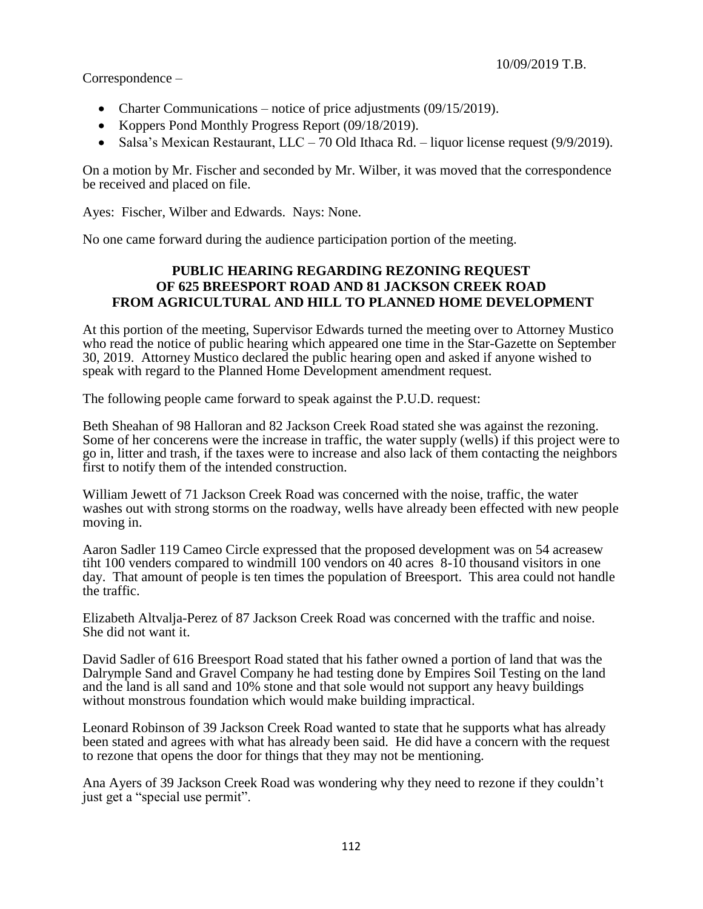Correspondence –

- Charter Communications notice of price adjustments  $(09/15/2019)$ .
- Koppers Pond Monthly Progress Report (09/18/2019).
- Salsa's Mexican Restaurant,  $LLC 70$  Old Ithaca Rd. liquor license request (9/9/2019).

On a motion by Mr. Fischer and seconded by Mr. Wilber, it was moved that the correspondence be received and placed on file.

Ayes: Fischer, Wilber and Edwards. Nays: None.

No one came forward during the audience participation portion of the meeting.

## **PUBLIC HEARING REGARDING REZONING REQUEST OF 625 BREESPORT ROAD AND 81 JACKSON CREEK ROAD FROM AGRICULTURAL AND HILL TO PLANNED HOME DEVELOPMENT**

At this portion of the meeting, Supervisor Edwards turned the meeting over to Attorney Mustico who read the notice of public hearing which appeared one time in the Star-Gazette on September 30, 2019. Attorney Mustico declared the public hearing open and asked if anyone wished to speak with regard to the Planned Home Development amendment request.

The following people came forward to speak against the P.U.D. request:

Beth Sheahan of 98 Halloran and 82 Jackson Creek Road stated she was against the rezoning. Some of her concerens were the increase in traffic, the water supply (wells) if this project were to go in, litter and trash, if the taxes were to increase and also lack of them contacting the neighbors first to notify them of the intended construction.

William Jewett of 71 Jackson Creek Road was concerned with the noise, traffic, the water washes out with strong storms on the roadway, wells have already been effected with new people moving in.

Aaron Sadler 119 Cameo Circle expressed that the proposed development was on 54 acreasew tiht 100 venders compared to windmill 100 vendors on 40 acres 8-10 thousand visitors in one day. That amount of people is ten times the population of Breesport. This area could not handle the traffic.

Elizabeth Altvalja-Perez of 87 Jackson Creek Road was concerned with the traffic and noise. She did not want it.

David Sadler of 616 Breesport Road stated that his father owned a portion of land that was the Dalrymple Sand and Gravel Company he had testing done by Empires Soil Testing on the land and the land is all sand and 10% stone and that sole would not support any heavy buildings without monstrous foundation which would make building impractical.

Leonard Robinson of 39 Jackson Creek Road wanted to state that he supports what has already been stated and agrees with what has already been said. He did have a concern with the request to rezone that opens the door for things that they may not be mentioning.

Ana Ayers of 39 Jackson Creek Road was wondering why they need to rezone if they couldn't just get a "special use permit".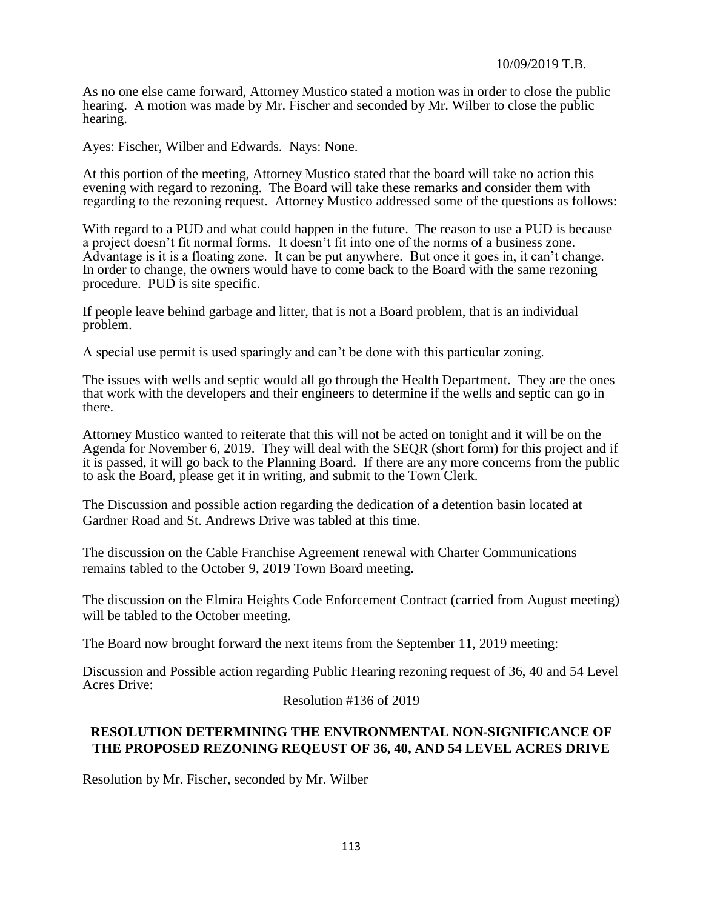As no one else came forward, Attorney Mustico stated a motion was in order to close the public hearing. A motion was made by Mr. Fischer and seconded by Mr. Wilber to close the public hearing.

Ayes: Fischer, Wilber and Edwards. Nays: None.

At this portion of the meeting, Attorney Mustico stated that the board will take no action this evening with regard to rezoning. The Board will take these remarks and consider them with regarding to the rezoning request. Attorney Mustico addressed some of the questions as follows:

With regard to a PUD and what could happen in the future. The reason to use a PUD is because a project doesn't fit normal forms. It doesn't fit into one of the norms of a business zone. Advantage is it is a floating zone. It can be put anywhere. But once it goes in, it can't change. In order to change, the owners would have to come back to the Board with the same rezoning procedure. PUD is site specific.

If people leave behind garbage and litter, that is not a Board problem, that is an individual problem.

A special use permit is used sparingly and can't be done with this particular zoning.

The issues with wells and septic would all go through the Health Department. They are the ones that work with the developers and their engineers to determine if the wells and septic can go in there.

Attorney Mustico wanted to reiterate that this will not be acted on tonight and it will be on the Agenda for November 6, 2019. They will deal with the SEQR (short form) for this project and if it is passed, it will go back to the Planning Board. If there are any more concerns from the public to ask the Board, please get it in writing, and submit to the Town Clerk.

The Discussion and possible action regarding the dedication of a detention basin located at Gardner Road and St. Andrews Drive was tabled at this time.

The discussion on the Cable Franchise Agreement renewal with Charter Communications remains tabled to the October 9, 2019 Town Board meeting.

The discussion on the Elmira Heights Code Enforcement Contract (carried from August meeting) will be tabled to the October meeting.

The Board now brought forward the next items from the September 11, 2019 meeting:

Discussion and Possible action regarding Public Hearing rezoning request of 36, 40 and 54 Level Acres Drive:

Resolution #136 of 2019

## **RESOLUTION DETERMINING THE ENVIRONMENTAL NON-SIGNIFICANCE OF THE PROPOSED REZONING REQEUST OF 36, 40, AND 54 LEVEL ACRES DRIVE**

Resolution by Mr. Fischer, seconded by Mr. Wilber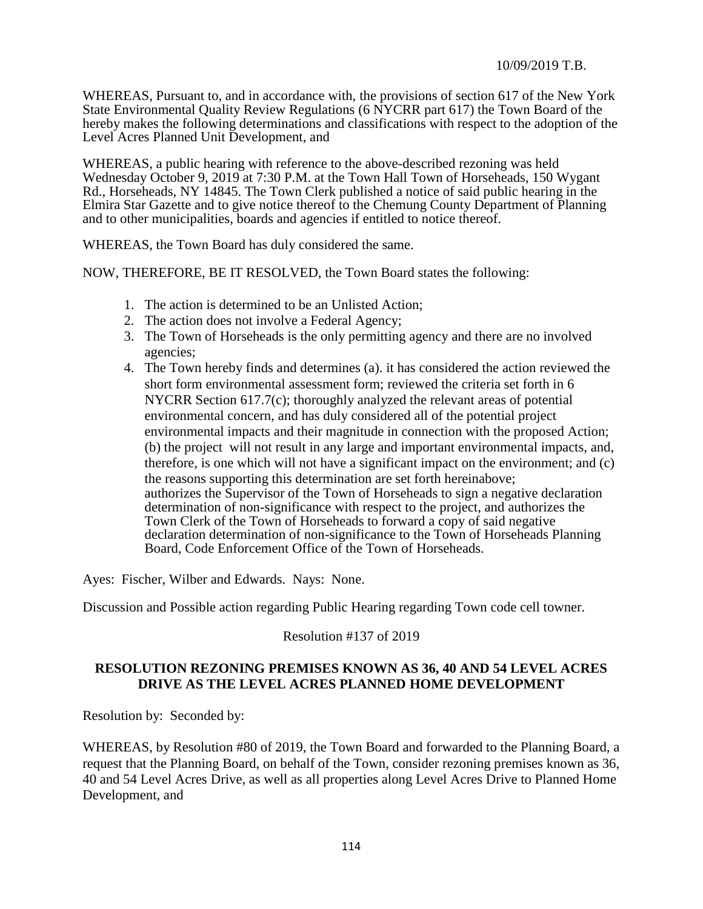WHEREAS, Pursuant to, and in accordance with, the provisions of section 617 of the New York State Environmental Quality Review Regulations (6 NYCRR part 617) the Town Board of the hereby makes the following determinations and classifications with respect to the adoption of the Level Acres Planned Unit Development, and

WHEREAS, a public hearing with reference to the above-described rezoning was held Wednesday October 9, 2019 at 7:30 P.M. at the Town Hall Town of Horseheads, 150 Wygant Rd., Horseheads, NY 14845. The Town Clerk published a notice of said public hearing in the Elmira Star Gazette and to give notice thereof to the Chemung County Department of Planning and to other municipalities, boards and agencies if entitled to notice thereof.

WHEREAS, the Town Board has duly considered the same.

NOW, THEREFORE, BE IT RESOLVED, the Town Board states the following:

- 1. The action is determined to be an Unlisted Action;
- 2. The action does not involve a Federal Agency;
- 3. The Town of Horseheads is the only permitting agency and there are no involved agencies;
- 4. The Town hereby finds and determines (a). it has considered the action reviewed the short form environmental assessment form; reviewed the criteria set forth in 6 NYCRR Section 617.7(c); thoroughly analyzed the relevant areas of potential environmental concern, and has duly considered all of the potential project environmental impacts and their magnitude in connection with the proposed Action; (b) the project will not result in any large and important environmental impacts, and, therefore, is one which will not have a significant impact on the environment; and (c) the reasons supporting this determination are set forth hereinabove; authorizes the Supervisor of the Town of Horseheads to sign a negative declaration determination of non-significance with respect to the project, and authorizes the Town Clerk of the Town of Horseheads to forward a copy of said negative declaration determination of non-significance to the Town of Horseheads Planning Board, Code Enforcement Office of the Town of Horseheads.

Ayes: Fischer, Wilber and Edwards. Nays: None.

Discussion and Possible action regarding Public Hearing regarding Town code cell towner.

### Resolution #137 of 2019

### **RESOLUTION REZONING PREMISES KNOWN AS 36, 40 AND 54 LEVEL ACRES DRIVE AS THE LEVEL ACRES PLANNED HOME DEVELOPMENT**

Resolution by: Seconded by:

WHEREAS, by Resolution #80 of 2019, the Town Board and forwarded to the Planning Board, a request that the Planning Board, on behalf of the Town, consider rezoning premises known as 36, 40 and 54 Level Acres Drive, as well as all properties along Level Acres Drive to Planned Home Development, and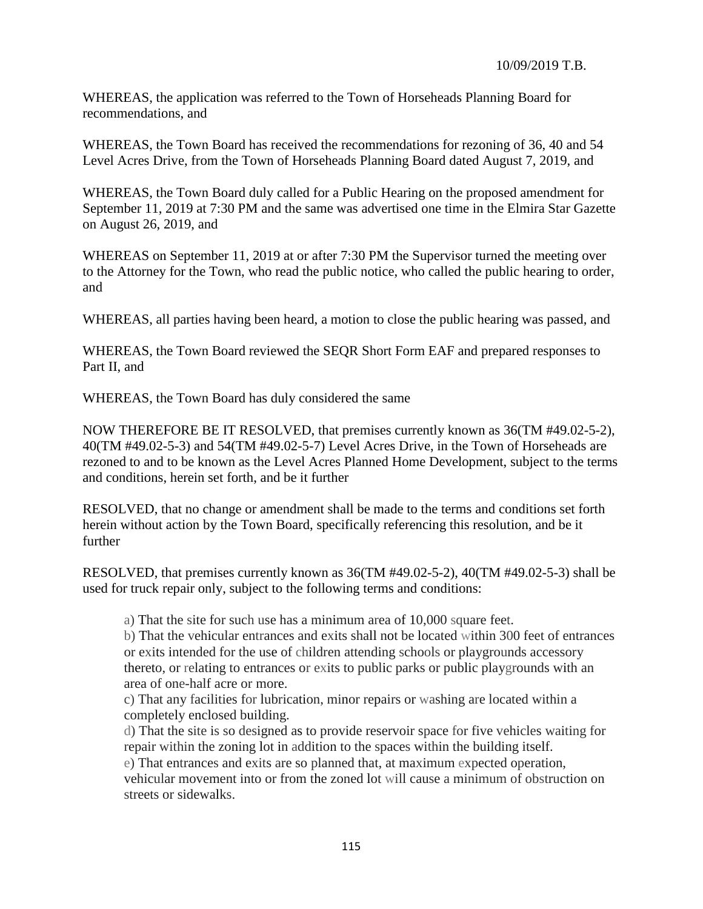WHEREAS, the application was referred to the Town of Horseheads Planning Board for recommendations, and

WHEREAS, the Town Board has received the recommendations for rezoning of 36, 40 and 54 Level Acres Drive, from the Town of Horseheads Planning Board dated August 7, 2019, and

WHEREAS, the Town Board duly called for a Public Hearing on the proposed amendment for September 11, 2019 at 7:30 PM and the same was advertised one time in the Elmira Star Gazette on August 26, 2019, and

WHEREAS on September 11, 2019 at or after 7:30 PM the Supervisor turned the meeting over to the Attorney for the Town, who read the public notice, who called the public hearing to order, and

WHEREAS, all parties having been heard, a motion to close the public hearing was passed, and

WHEREAS, the Town Board reviewed the SEQR Short Form EAF and prepared responses to Part II, and

WHEREAS, the Town Board has duly considered the same

NOW THEREFORE BE IT RESOLVED, that premises currently known as 36(TM #49.02-5-2), 40(TM #49.02-5-3) and 54(TM #49.02-5-7) Level Acres Drive, in the Town of Horseheads are rezoned to and to be known as the Level Acres Planned Home Development, subject to the terms and conditions, herein set forth, and be it further

RESOLVED, that no change or amendment shall be made to the terms and conditions set forth herein without action by the Town Board, specifically referencing this resolution, and be it further

RESOLVED, that premises currently known as 36(TM #49.02-5-2), 40(TM #49.02-5-3) shall be used for truck repair only, subject to the following terms and conditions:

a) That the site for such use has a minimum area of 10,000 square feet.

b) That the vehicular entrances and exits shall not be located within 300 feet of entrances or exits intended for the use of children attending schools or playgrounds accessory thereto, or relating to entrances or exits to public parks or public playgrounds with an area of one-half acre or more.

c) That any facilities for lubrication, minor repairs or washing are located within a completely enclosed building.

d) That the site is so designed as to provide reservoir space for five vehicles waiting for repair within the zoning lot in addition to the spaces within the building itself.

e) That entrances and exits are so planned that, at maximum expected operation,

vehicular movement into or from the zoned lot will cause a minimum of obstruction on streets or sidewalks.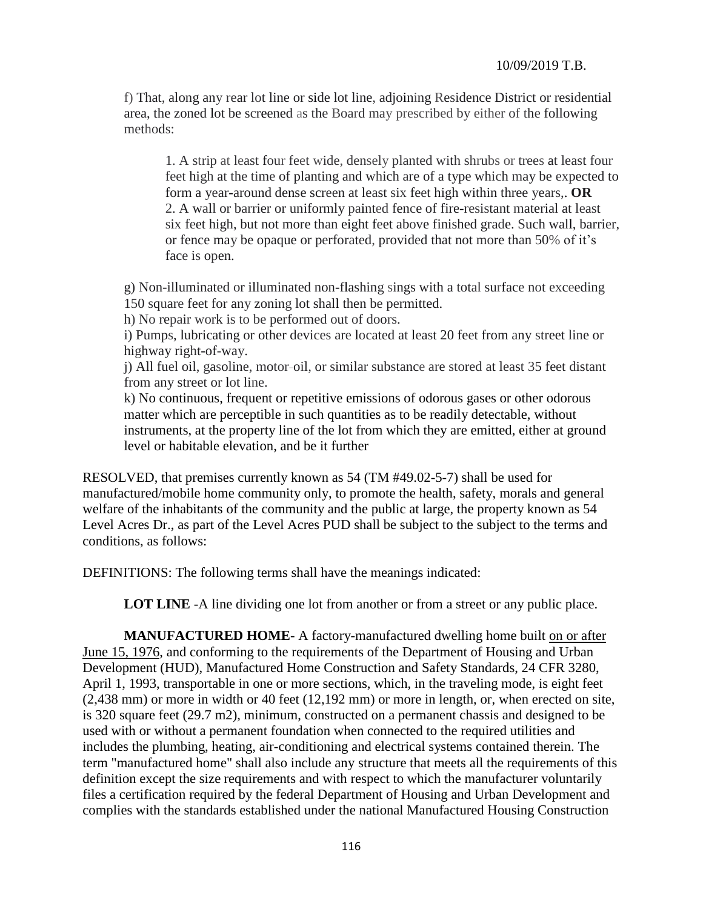f) That, along any rear lot line or side lot line, adjoining Residence District or residential area, the zoned lot be screened as the Board may prescribed by either of the following methods:

1. A strip at least four feet wide, densely planted with shrubs or trees at least four feet high at the time of planting and which are of a type which may be expected to form a year-around dense screen at least six feet high within three years,. **OR**  2. A wall or barrier or uniformly painted fence of fire-resistant material at least six feet high, but not more than eight feet above finished grade. Such wall, barrier, or fence may be opaque or perforated, provided that not more than 50% of it's face is open.

g) Non-illuminated or illuminated non-flashing sings with a total surface not exceeding 150 square feet for any zoning lot shall then be permitted.

h) No repair work is to be performed out of doors.

i) Pumps, lubricating or other devices are located at least 20 feet from any street line or highway right-of-way.

j) All fuel oil, gasoline, motor-oil, or similar substance are stored at least 35 feet distant from any street or lot line.

k) No continuous, frequent or repetitive emissions of odorous gases or other odorous matter which are perceptible in such quantities as to be readily detectable, without instruments, at the property line of the lot from which they are emitted, either at ground level or habitable elevation, and be it further

RESOLVED, that premises currently known as 54 (TM #49.02-5-7) shall be used for manufactured/mobile home community only, to promote the health, safety, morals and general welfare of the inhabitants of the community and the public at large, the property known as 54 Level Acres Dr., as part of the Level Acres PUD shall be subject to the subject to the terms and conditions, as follows:

DEFINITIONS: The following terms shall have the meanings indicated:

**LOT LINE** -A line dividing one lot from another or from a street or any public place.

**MANUFACTURED HOME**- A factory-manufactured dwelling home built on or after June 15, 1976, and conforming to the requirements of the Department of Housing and Urban Development (HUD), Manufactured Home Construction and Safety Standards, 24 CFR 3280, April 1, 1993, transportable in one or more sections, which, in the traveling mode, is eight feet (2,438 mm) or more in width or 40 feet (12,192 mm) or more in length, or, when erected on site, is 320 square feet (29.7 m2), minimum, constructed on a permanent chassis and designed to be used with or without a permanent foundation when connected to the required utilities and includes the plumbing, heating, air-conditioning and electrical systems contained therein. The term "manufactured home" shall also include any structure that meets all the requirements of this definition except the size requirements and with respect to which the manufacturer voluntarily files a certification required by the federal Department of Housing and Urban Development and complies with the standards established under the national Manufactured Housing Construction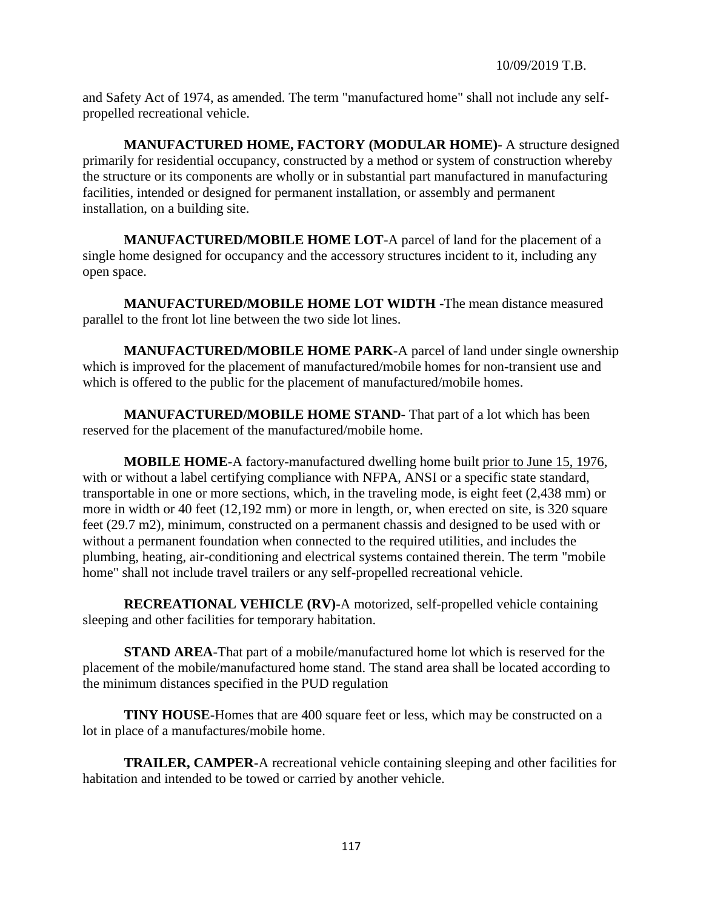and Safety Act of 1974, as amended. The term "manufactured home" shall not include any selfpropelled recreational vehicle.

**MANUFACTURED HOME, FACTORY (MODULAR HOME)**- A structure designed primarily for residential occupancy, constructed by a method or system of construction whereby the structure or its components are wholly or in substantial part manufactured in manufacturing facilities, intended or designed for permanent installation, or assembly and permanent installation, on a building site.

**MANUFACTURED/MOBILE HOME LOT**-A parcel of land for the placement of a single home designed for occupancy and the accessory structures incident to it, including any open space.

**MANUFACTURED/MOBILE HOME LOT WIDTH** -The mean distance measured parallel to the front lot line between the two side lot lines.

**MANUFACTURED/MOBILE HOME PARK**-A parcel of land under single ownership which is improved for the placement of manufactured/mobile homes for non-transient use and which is offered to the public for the placement of manufactured/mobile homes.

**MANUFACTURED/MOBILE HOME STAND**- That part of a lot which has been reserved for the placement of the manufactured/mobile home.

**MOBILE HOME**-A factory-manufactured dwelling home built prior to June 15, 1976, with or without a label certifying compliance with NFPA, ANSI or a specific state standard, transportable in one or more sections, which, in the traveling mode, is eight feet (2,438 mm) or more in width or 40 feet (12,192 mm) or more in length, or, when erected on site, is 320 square feet (29.7 m2), minimum, constructed on a permanent chassis and designed to be used with or without a permanent foundation when connected to the required utilities, and includes the plumbing, heating, air-conditioning and electrical systems contained therein. The term "mobile home" shall not include travel trailers or any self-propelled recreational vehicle.

**RECREATIONAL VEHICLE (RV)-**A motorized, self-propelled vehicle containing sleeping and other facilities for temporary habitation.

**STAND AREA**-That part of a mobile/manufactured home lot which is reserved for the placement of the mobile/manufactured home stand. The stand area shall be located according to the minimum distances specified in the PUD regulation

**TINY HOUSE-Homes that are 400 square feet or less, which may be constructed on a** lot in place of a manufactures/mobile home.

**TRAILER, CAMPER-**A recreational vehicle containing sleeping and other facilities for habitation and intended to be towed or carried by another vehicle.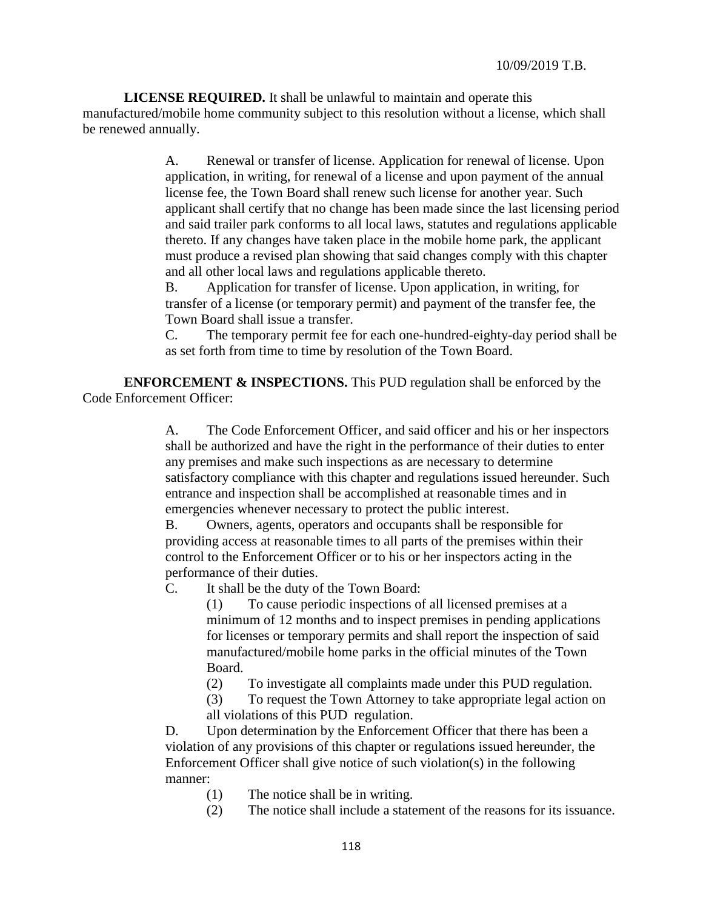**LICENSE REQUIRED.** It shall be unlawful to maintain and operate this manufactured/mobile home community subject to this resolution without a license, which shall be renewed annually.

> A. Renewal or transfer of license. Application for renewal of license. Upon application, in writing, for renewal of a license and upon payment of the annual license fee, the Town Board shall renew such license for another year. Such applicant shall certify that no change has been made since the last licensing period and said trailer park conforms to all local laws, statutes and regulations applicable thereto. If any changes have taken place in the mobile home park, the applicant must produce a revised plan showing that said changes comply with this chapter and all other local laws and regulations applicable thereto.

B. Application for transfer of license. Upon application, in writing, for transfer of a license (or temporary permit) and payment of the transfer fee, the Town Board shall issue a transfer.

C. The temporary permit fee for each one-hundred-eighty-day period shall be as set forth from time to time by resolution of the Town Board.

**ENFORCEMENT & INSPECTIONS.** This PUD regulation shall be enforced by the Code Enforcement Officer:

> A. The Code Enforcement Officer, and said officer and his or her inspectors shall be authorized and have the right in the performance of their duties to enter any premises and make such inspections as are necessary to determine satisfactory compliance with this chapter and regulations issued hereunder. Such entrance and inspection shall be accomplished at reasonable times and in emergencies whenever necessary to protect the public interest.

B. Owners, agents, operators and occupants shall be responsible for providing access at reasonable times to all parts of the premises within their control to the Enforcement Officer or to his or her inspectors acting in the performance of their duties.

C. It shall be the duty of the Town Board:

(1) To cause periodic inspections of all licensed premises at a minimum of 12 months and to inspect premises in pending applications for licenses or temporary permits and shall report the inspection of said manufactured/mobile home parks in the official minutes of the Town Board.

(2) To investigate all complaints made under this PUD regulation.

(3) To request the Town Attorney to take appropriate legal action on all violations of this PUD regulation.

D. Upon determination by the Enforcement Officer that there has been a violation of any provisions of this chapter or regulations issued hereunder, the Enforcement Officer shall give notice of such violation(s) in the following manner:

- (1) The notice shall be in writing.
- (2) The notice shall include a statement of the reasons for its issuance.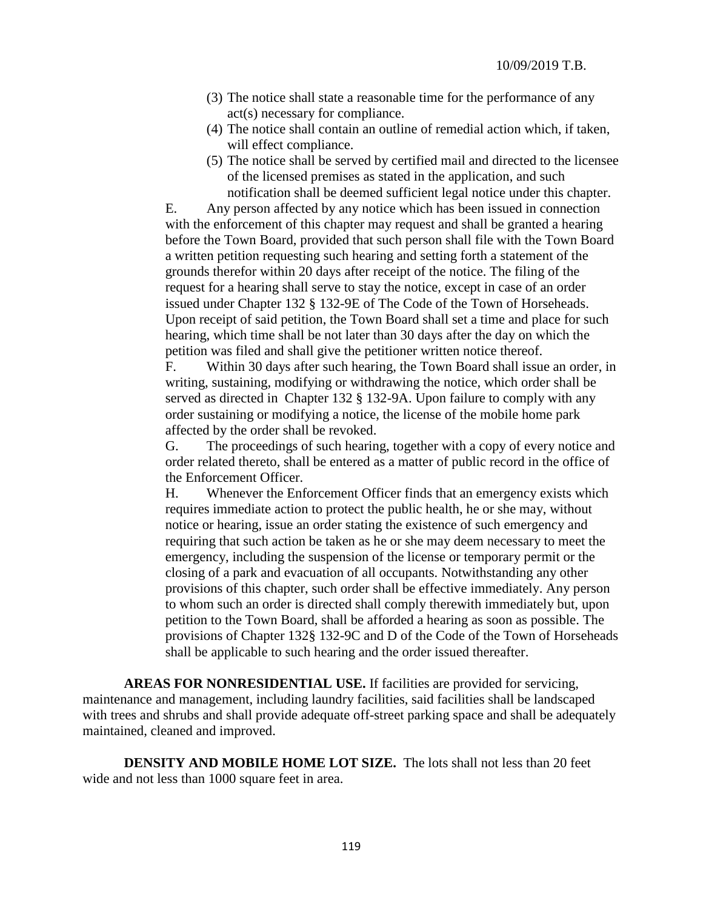- (3) The notice shall state a reasonable time for the performance of any act(s) necessary for compliance.
- (4) The notice shall contain an outline of remedial action which, if taken, will effect compliance.
- (5) The notice shall be served by certified mail and directed to the licensee of the licensed premises as stated in the application, and such notification shall be deemed sufficient legal notice under this chapter.

E. Any person affected by any notice which has been issued in connection with the enforcement of this chapter may request and shall be granted a hearing before the Town Board, provided that such person shall file with the Town Board a written petition requesting such hearing and setting forth a statement of the grounds therefor within 20 days after receipt of the notice. The filing of the request for a hearing shall serve to stay the notice, except in case of an order issued under Chapter 132 § 132-9E of The Code of the Town of Horseheads. Upon receipt of said petition, the Town Board shall set a time and place for such hearing, which time shall be not later than 30 days after the day on which the petition was filed and shall give the petitioner written notice thereof.

F. Within 30 days after such hearing, the Town Board shall issue an order, in writing, sustaining, modifying or withdrawing the notice, which order shall be served as directed in Chapter 132 § 132-9A. Upon failure to comply with any order sustaining or modifying a notice, the license of the mobile home park affected by the order shall be revoked.

G. The proceedings of such hearing, together with a copy of every notice and order related thereto, shall be entered as a matter of public record in the office of the Enforcement Officer.

H. Whenever the Enforcement Officer finds that an emergency exists which requires immediate action to protect the public health, he or she may, without notice or hearing, issue an order stating the existence of such emergency and requiring that such action be taken as he or she may deem necessary to meet the emergency, including the suspension of the license or temporary permit or the closing of a park and evacuation of all occupants. Notwithstanding any other provisions of this chapter, such order shall be effective immediately. Any person to whom such an order is directed shall comply therewith immediately but, upon petition to the Town Board, shall be afforded a hearing as soon as possible. The provisions of Chapter 132§ 132-9C and D of the Code of the Town of Horseheads shall be applicable to such hearing and the order issued thereafter.

**AREAS FOR NONRESIDENTIAL USE.** If facilities are provided for servicing, maintenance and management, including laundry facilities, said facilities shall be landscaped with trees and shrubs and shall provide adequate off-street parking space and shall be adequately maintained, cleaned and improved.

**DENSITY AND MOBILE HOME LOT SIZE.** The lots shall not less than 20 feet wide and not less than 1000 square feet in area.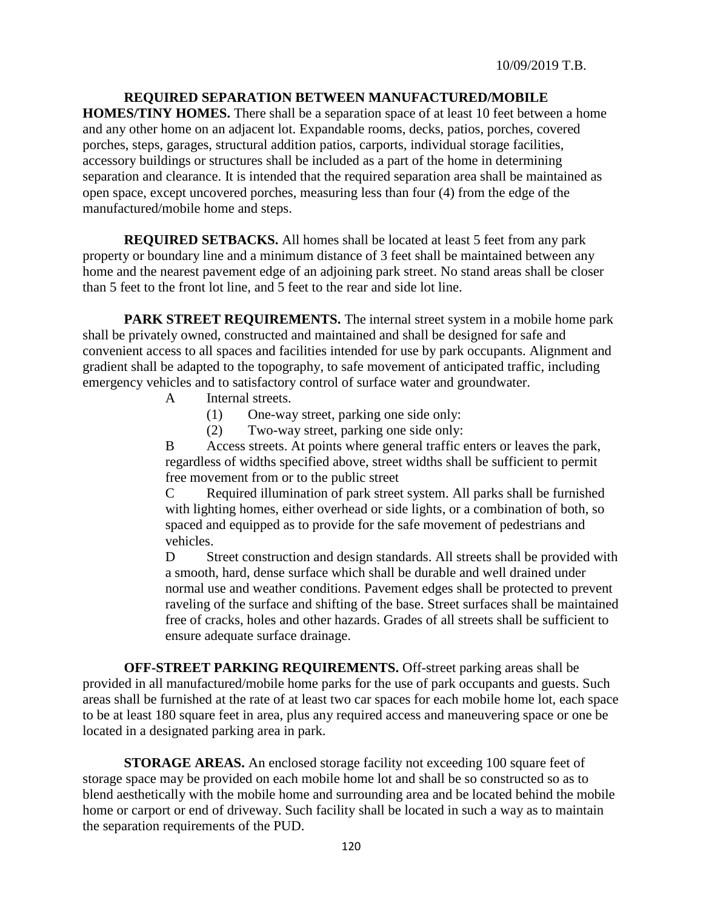### **REQUIRED SEPARATION BETWEEN MANUFACTURED/MOBILE**

**HOMES/TINY HOMES.** There shall be a separation space of at least 10 feet between a home and any other home on an adjacent lot. Expandable rooms, decks, patios, porches, covered porches, steps, garages, structural addition patios, carports, individual storage facilities, accessory buildings or structures shall be included as a part of the home in determining separation and clearance. It is intended that the required separation area shall be maintained as open space, except uncovered porches, measuring less than four (4) from the edge of the manufactured/mobile home and steps.

**REQUIRED SETBACKS.** All homes shall be located at least 5 feet from any park property or boundary line and a minimum distance of 3 feet shall be maintained between any home and the nearest pavement edge of an adjoining park street. No stand areas shall be closer than 5 feet to the front lot line, and 5 feet to the rear and side lot line.

**PARK STREET REQUIREMENTS.** The internal street system in a mobile home park shall be privately owned, constructed and maintained and shall be designed for safe and convenient access to all spaces and facilities intended for use by park occupants. Alignment and gradient shall be adapted to the topography, to safe movement of anticipated traffic, including emergency vehicles and to satisfactory control of surface water and groundwater.

- A Internal streets.
	- (1) One-way street, parking one side only:
	- (2) Two-way street, parking one side only:

B Access streets. At points where general traffic enters or leaves the park, regardless of widths specified above, street widths shall be sufficient to permit free movement from or to the public street

C Required illumination of park street system. All parks shall be furnished with lighting homes, either overhead or side lights, or a combination of both, so spaced and equipped as to provide for the safe movement of pedestrians and vehicles.

D Street construction and design standards. All streets shall be provided with a smooth, hard, dense surface which shall be durable and well drained under normal use and weather conditions. Pavement edges shall be protected to prevent raveling of the surface and shifting of the base. Street surfaces shall be maintained free of cracks, holes and other hazards. Grades of all streets shall be sufficient to ensure adequate surface drainage.

**OFF-STREET PARKING REQUIREMENTS.** Off-street parking areas shall be provided in all manufactured/mobile home parks for the use of park occupants and guests. Such areas shall be furnished at the rate of at least two car spaces for each mobile home lot, each space to be at least 180 square feet in area, plus any required access and maneuvering space or one be located in a designated parking area in park.

**STORAGE AREAS.** An enclosed storage facility not exceeding 100 square feet of storage space may be provided on each mobile home lot and shall be so constructed so as to blend aesthetically with the mobile home and surrounding area and be located behind the mobile home or carport or end of driveway. Such facility shall be located in such a way as to maintain the separation requirements of the PUD.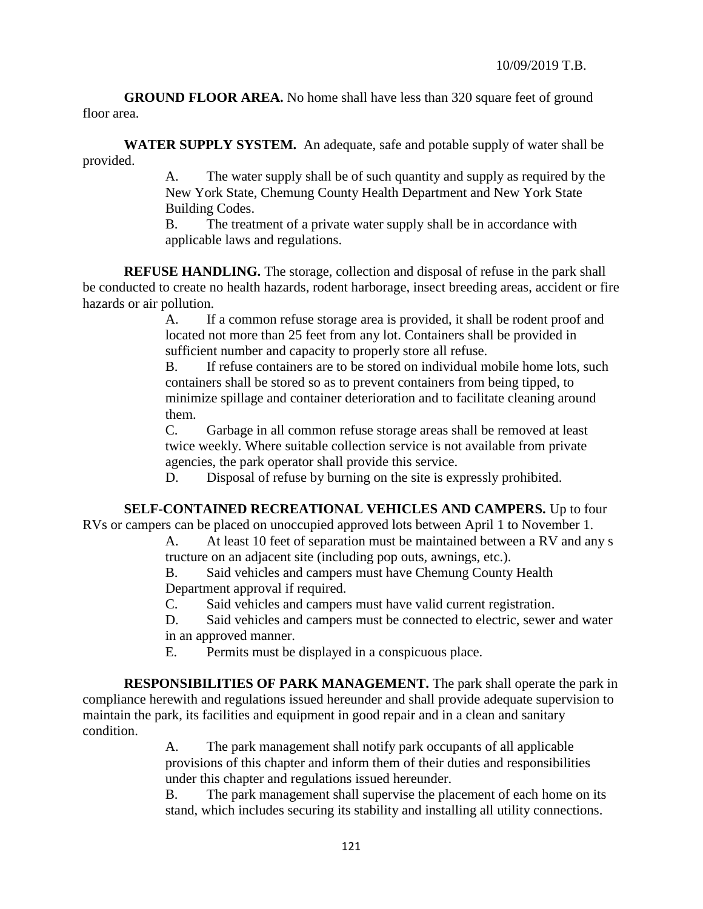**GROUND FLOOR AREA.** No home shall have less than 320 square feet of ground floor area.

**WATER SUPPLY SYSTEM.** An adequate, safe and potable supply of water shall be provided.

> A. The water supply shall be of such quantity and supply as required by the New York State, Chemung County Health Department and New York State Building Codes.

B. The treatment of a private water supply shall be in accordance with applicable laws and regulations.

**REFUSE HANDLING.** The storage, collection and disposal of refuse in the park shall be conducted to create no health hazards, rodent harborage, insect breeding areas, accident or fire hazards or air pollution.

> A. If a common refuse storage area is provided, it shall be rodent proof and located not more than 25 feet from any lot. Containers shall be provided in sufficient number and capacity to properly store all refuse.

B. If refuse containers are to be stored on individual mobile home lots, such containers shall be stored so as to prevent containers from being tipped, to minimize spillage and container deterioration and to facilitate cleaning around them.

C. Garbage in all common refuse storage areas shall be removed at least twice weekly. Where suitable collection service is not available from private agencies, the park operator shall provide this service.

D. Disposal of refuse by burning on the site is expressly prohibited.

# **SELF-CONTAINED RECREATIONAL VEHICLES AND CAMPERS.** Up to four

RVs or campers can be placed on unoccupied approved lots between April 1 to November 1.

A. At least 10 feet of separation must be maintained between a RV and any s tructure on an adjacent site (including pop outs, awnings, etc.).

B. Said vehicles and campers must have Chemung County Health Department approval if required.

C. Said vehicles and campers must have valid current registration.

D. Said vehicles and campers must be connected to electric, sewer and water in an approved manner.

E. Permits must be displayed in a conspicuous place.

**RESPONSIBILITIES OF PARK MANAGEMENT.** The park shall operate the park in compliance herewith and regulations issued hereunder and shall provide adequate supervision to maintain the park, its facilities and equipment in good repair and in a clean and sanitary condition.

> A. The park management shall notify park occupants of all applicable provisions of this chapter and inform them of their duties and responsibilities under this chapter and regulations issued hereunder.

B. The park management shall supervise the placement of each home on its stand, which includes securing its stability and installing all utility connections.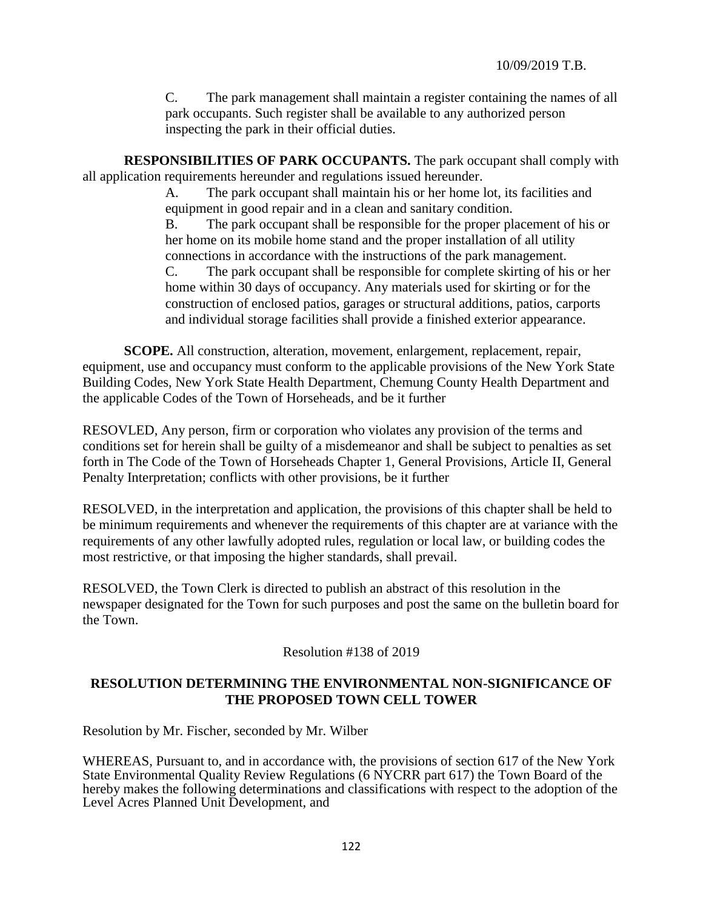C. The park management shall maintain a register containing the names of all park occupants. Such register shall be available to any authorized person inspecting the park in their official duties.

**RESPONSIBILITIES OF PARK OCCUPANTS.** The park occupant shall comply with all application requirements hereunder and regulations issued hereunder.

> A. The park occupant shall maintain his or her home lot, its facilities and equipment in good repair and in a clean and sanitary condition.

B. The park occupant shall be responsible for the proper placement of his or her home on its mobile home stand and the proper installation of all utility connections in accordance with the instructions of the park management.

C. The park occupant shall be responsible for complete skirting of his or her home within 30 days of occupancy. Any materials used for skirting or for the construction of enclosed patios, garages or structural additions, patios, carports and individual storage facilities shall provide a finished exterior appearance.

**SCOPE.** All construction, alteration, movement, enlargement, replacement, repair, equipment, use and occupancy must conform to the applicable provisions of the New York State Building Codes, New York State Health Department, Chemung County Health Department and the applicable Codes of the Town of Horseheads, and be it further

RESOVLED, Any person, firm or corporation who violates any provision of the terms and conditions set for herein shall be guilty of a misdemeanor and shall be subject to penalties as set forth in The Code of the Town of Horseheads Chapter 1, General Provisions, Article II, General Penalty Interpretation; conflicts with other provisions, be it further

RESOLVED, in the interpretation and application, the provisions of this chapter shall be held to be minimum requirements and whenever the requirements of this chapter are at variance with the requirements of any other lawfully adopted rules, regulation or local law, or building codes the most restrictive, or that imposing the higher standards, shall prevail.

RESOLVED, the Town Clerk is directed to publish an abstract of this resolution in the newspaper designated for the Town for such purposes and post the same on the bulletin board for the Town.

Resolution #138 of 2019

## **RESOLUTION DETERMINING THE ENVIRONMENTAL NON-SIGNIFICANCE OF THE PROPOSED TOWN CELL TOWER**

Resolution by Mr. Fischer, seconded by Mr. Wilber

WHEREAS, Pursuant to, and in accordance with, the provisions of section 617 of the New York State Environmental Quality Review Regulations (6 NYCRR part 617) the Town Board of the hereby makes the following determinations and classifications with respect to the adoption of the Level Acres Planned Unit Development, and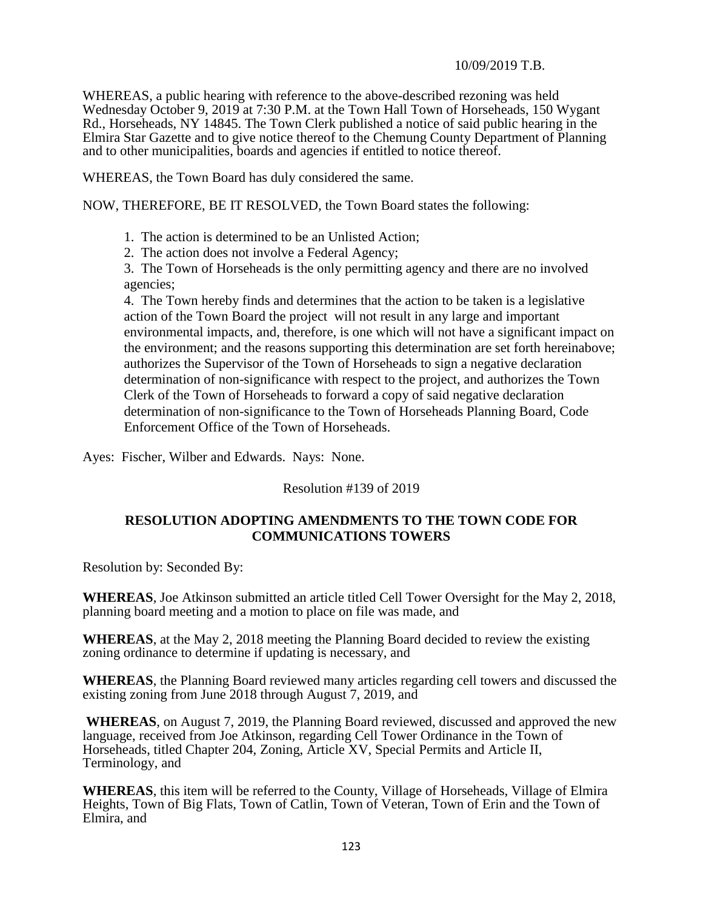WHEREAS, a public hearing with reference to the above-described rezoning was held Wednesday October 9, 2019 at 7:30 P.M. at the Town Hall Town of Horseheads, 150 Wygant Rd., Horseheads, NY 14845. The Town Clerk published a notice of said public hearing in the Elmira Star Gazette and to give notice thereof to the Chemung County Department of Planning and to other municipalities, boards and agencies if entitled to notice thereof.

WHEREAS, the Town Board has duly considered the same.

NOW, THEREFORE, BE IT RESOLVED, the Town Board states the following:

1. The action is determined to be an Unlisted Action;

2. The action does not involve a Federal Agency;

3. The Town of Horseheads is the only permitting agency and there are no involved agencies;

4. The Town hereby finds and determines that the action to be taken is a legislative action of the Town Board the project will not result in any large and important environmental impacts, and, therefore, is one which will not have a significant impact on the environment; and the reasons supporting this determination are set forth hereinabove; authorizes the Supervisor of the Town of Horseheads to sign a negative declaration determination of non-significance with respect to the project, and authorizes the Town Clerk of the Town of Horseheads to forward a copy of said negative declaration determination of non-significance to the Town of Horseheads Planning Board, Code Enforcement Office of the Town of Horseheads.

Ayes: Fischer, Wilber and Edwards. Nays: None.

Resolution #139 of 2019

## **RESOLUTION ADOPTING AMENDMENTS TO THE TOWN CODE FOR COMMUNICATIONS TOWERS**

Resolution by: Seconded By:

**WHEREAS**, Joe Atkinson submitted an article titled Cell Tower Oversight for the May 2, 2018, planning board meeting and a motion to place on file was made, and

**WHEREAS**, at the May 2, 2018 meeting the Planning Board decided to review the existing zoning ordinance to determine if updating is necessary, and

**WHEREAS**, the Planning Board reviewed many articles regarding cell towers and discussed the existing zoning from June 2018 through August 7, 2019, and

**WHEREAS**, on August 7, 2019, the Planning Board reviewed, discussed and approved the new language, received from Joe Atkinson, regarding Cell Tower Ordinance in the Town of Horseheads, titled Chapter 204, Zoning, Article XV, Special Permits and Article II, Terminology, and

**WHEREAS**, this item will be referred to the County, Village of Horseheads, Village of Elmira Heights, Town of Big Flats, Town of Catlin, Town of Veteran, Town of Erin and the Town of Elmira, and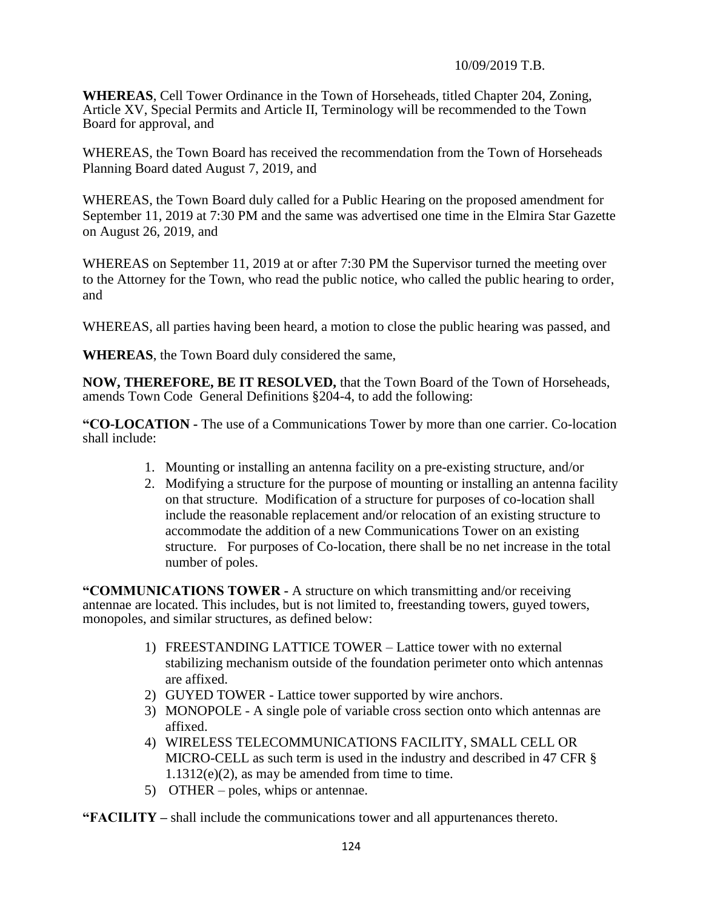**WHEREAS**, Cell Tower Ordinance in the Town of Horseheads, titled Chapter 204, Zoning, Article XV, Special Permits and Article II, Terminology will be recommended to the Town Board for approval, and

WHEREAS, the Town Board has received the recommendation from the Town of Horseheads Planning Board dated August 7, 2019, and

WHEREAS, the Town Board duly called for a Public Hearing on the proposed amendment for September 11, 2019 at 7:30 PM and the same was advertised one time in the Elmira Star Gazette on August 26, 2019, and

WHEREAS on September 11, 2019 at or after 7:30 PM the Supervisor turned the meeting over to the Attorney for the Town, who read the public notice, who called the public hearing to order, and

WHEREAS, all parties having been heard, a motion to close the public hearing was passed, and

**WHEREAS**, the Town Board duly considered the same,

**NOW, THEREFORE, BE IT RESOLVED,** that the Town Board of the Town of Horseheads, amends Town Code General Definitions §204-4, to add the following:

**"CO-LOCATION -** The use of a Communications Tower by more than one carrier. Co-location shall include:

- 1. Mounting or installing an antenna facility on a pre-existing structure, and/or
- 2. Modifying a structure for the purpose of mounting or installing an antenna facility on that structure. Modification of a structure for purposes of co-location shall include the reasonable replacement and/or relocation of an existing structure to accommodate the addition of a new Communications Tower on an existing structure. For purposes of Co-location, there shall be no net increase in the total number of poles.

**"COMMUNICATIONS TOWER -** A structure on which transmitting and/or receiving antennae are located. This includes, but is not limited to, freestanding towers, guyed towers, monopoles, and similar structures, as defined below:

- 1) FREESTANDING LATTICE TOWER Lattice tower with no external stabilizing mechanism outside of the foundation perimeter onto which antennas are affixed.
- 2) GUYED TOWER Lattice tower supported by wire anchors.
- 3) MONOPOLE A single pole of variable cross section onto which antennas are affixed.
- 4) WIRELESS TELECOMMUNICATIONS FACILITY, SMALL CELL OR MICRO-CELL as such term is used in the industry and described in 47 CFR § 1.1312(e)(2), as may be amended from time to time.
- 5) OTHER poles, whips or antennae.

**"FACILITY –** shall include the communications tower and all appurtenances thereto.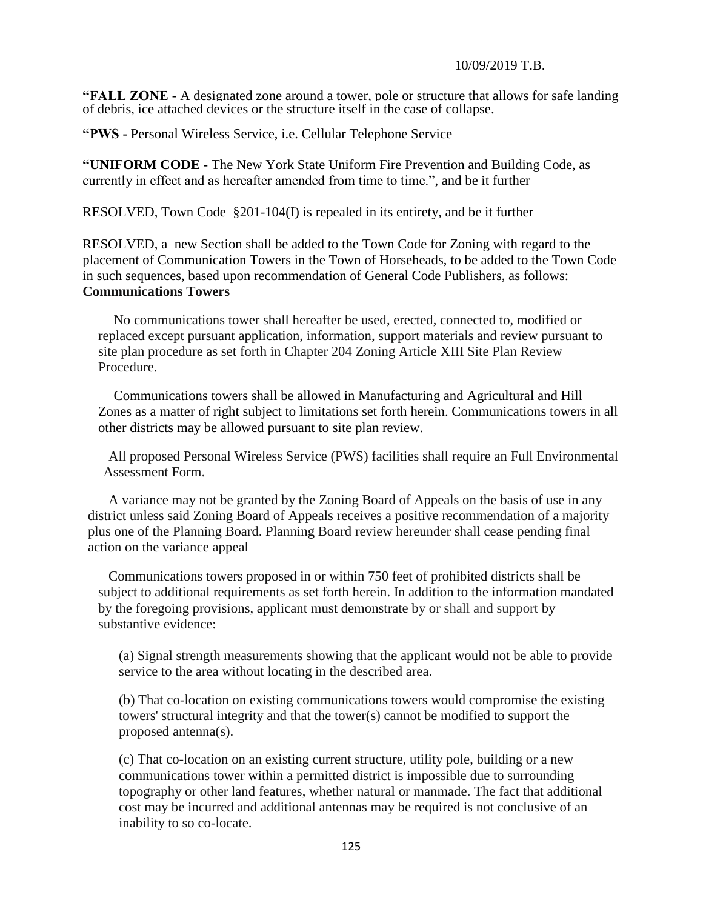**"FALL ZONE** - A designated zone around a tower, pole or structure that allows for safe landing of debris, ice attached devices or the structure itself in the case of collapse.

**"PWS -** Personal Wireless Service, i.e. Cellular Telephone Service

**["UNIFORM CODE](https://ecode360.com/6720929#6720929) -** The New York State Uniform Fire Prevention and Building Code, as currently in effect and as hereafter amended from time to time.", and be it further

RESOLVED, Town Code §201-104(I) is repealed in its entirety, and be it further

RESOLVED, a new Section shall be added to the Town Code for Zoning with regard to the placement of Communication Towers in the Town of Horseheads, to be added to the Town Code in such sequences, based upon recommendation of General Code Publishers, as follows: **Communications Towers** 

No communications tower shall hereafter be used, erected, connected to, modified or replaced except pursuant application, information, support materials and review pursuant to site plan procedure as set forth in Chapter 204 Zoning Article XIII Site Plan Review Procedure.

Communications towers shall be allowed in Manufacturing and Agricultural and Hill Zones as a matter of right subject to limitations set forth herein. Communications towers in all other districts may be allowed pursuant to site plan review.

All proposed Personal Wireless Service (PWS) facilities shall require an Full Environmental Assessment Form.

A variance may not be granted by the Zoning Board of Appeals on the basis of use in any district unless said Zoning Board of Appeals receives a positive recommendation of a majority plus one of the Planning Board. Planning Board review hereunder shall cease pending final action on the variance appeal

Communications towers proposed in or within 750 feet of prohibited districts shall be subject to additional requirements as set forth herein. In addition to the information mandated by the foregoing provisions, applicant must demonstrate by or shall and support by substantive evidence:

(a) Signal strength measurements showing that the applicant would not be able to provide service to the area without locating in the described area.

(b) That co-location on existing communications towers would compromise the existing towers' structural integrity and that the tower(s) cannot be modified to support the proposed antenna(s).

(c) That co-location on an existing current structure, utility pole, building or a new communications tower within a permitted district is impossible due to surrounding topography or other land features, whether natural or manmade. The fact that additional cost may be incurred and additional antennas may be required is not conclusive of an inability to so co-locate.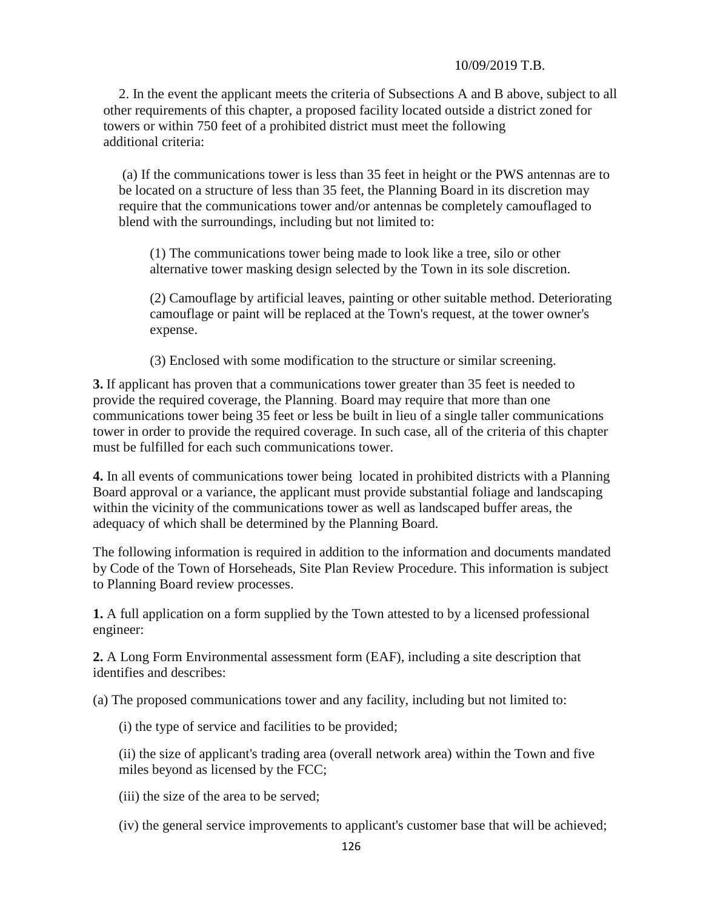2. In the event the applicant meets the criteria of Subsections A and B above, subject to all other requirements of this chapter, a proposed facility located outside a district zoned for towers or within 750 feet of a prohibited district must meet the following additional criteria:

(a) If the communications tower is less than 35 feet in height or the PWS antennas are to be located on a structure of less than 35 feet, the Planning Board in its discretion may require that the communications tower and/or antennas be completely camouflaged to blend with the surroundings, including but not limited to:

(1) The communications tower being made to look like a tree, silo or other alternative tower masking design selected by the Town in its sole discretion.

(2) Camouflage by artificial leaves, painting or other suitable method. Deteriorating camouflage or paint will be replaced at the Town's request, at the tower owner's expense.

(3) Enclosed with some modification to the structure or similar screening.

**3.** If applicant has proven that a communications tower greater than 35 feet is needed to provide the required coverage, the Planning. Board may require that more than one communications tower being 35 feet or less be built in lieu of a single taller communications tower in order to provide the required coverage. In such case, all of the criteria of this chapter must be fulfilled for each such communications tower.

**4.** In all events of communications tower being located in prohibited districts with a Planning Board approval or a variance, the applicant must provide substantial foliage and landscaping within the vicinity of the communications tower as well as landscaped buffer areas, the adequacy of which shall be determined by the Planning Board.

The following information is required in addition to the information and documents mandated by Code of the Town of Horseheads, Site Plan Review Procedure. This information is subject to Planning Board review processes.

**1.** A full application on a form supplied by the Town attested to by a licensed professional engineer:

**2.** A Long Form Environmental assessment form (EAF), including a site description that identifies and describes:

(a) The proposed communications tower and any facility, including but not limited to:

(i) the type of service and facilities to be provided;

(ii) the size of applicant's trading area (overall network area) within the Town and five miles beyond as licensed by the FCC;

(iii) the size of the area to be served;

(iv) the general service improvements to applicant's customer base that will be achieved;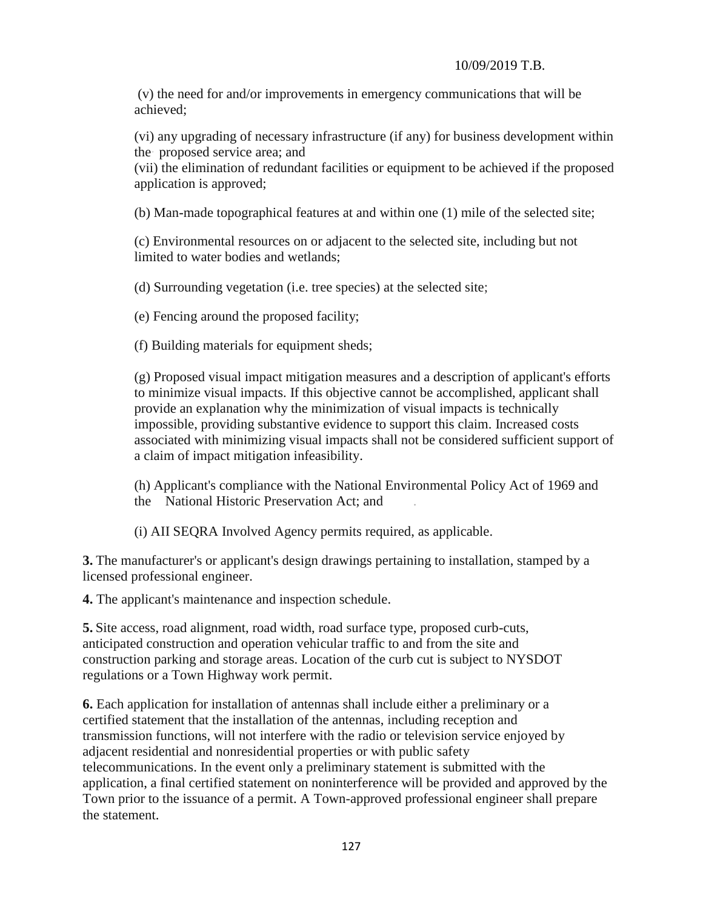(v) the need for and/or improvements in emergency communications that will be achieved;

(vi) any upgrading of necessary infrastructure (if any) for business development within the· proposed service area; and

(vii) the elimination of redundant facilities or equipment to be achieved if the proposed application is approved;

(b) Man-made topographical features at and within one (1) mile of the selected site;

(c) Environmental resources on or adjacent to the selected site, including but not limited to water bodies and wetlands;

(d) Surrounding vegetation (i.e. tree species) at the selected site;

(e) Fencing around the proposed facility;

(f) Building materials for equipment sheds;

(g) Proposed visual impact mitigation measures and a description of applicant's efforts to minimize visual impacts. If this objective cannot be accomplished, applicant shall provide an explanation why the minimization of visual impacts is technically impossible, providing substantive evidence to support this claim. Increased costs associated with minimizing visual impacts shall not be considered sufficient support of a claim of impact mitigation infeasibility.

(h) Applicant's compliance with the National Environmental Policy Act of 1969 and the National Historic Preservation Act; and .

(i) AII SEQRA Involved Agency permits required, as applicable.

**3.** The manufacturer's or applicant's design drawings pertaining to installation, stamped by a licensed professional engineer.

**4.** The applicant's maintenance and inspection schedule.

**5.** Site access, road alignment, road width, road surface type, proposed curb-cuts, anticipated construction and operation vehicular traffic to and from the site and construction parking and storage areas. Location of the curb cut is subject to NYSDOT regulations or a Town Highway work permit.

**6.** Each application for installation of antennas shall include either a preliminary or a certified statement that the installation of the antennas, including reception and transmission functions, will not interfere with the radio or television service enjoyed by adjacent residential and nonresidential properties or with public safety telecommunications. In the event only a preliminary statement is submitted with the application, a final certified statement on noninterference will be provided and approved by the Town prior to the issuance of a permit. A Town-approved professional engineer shall prepare the statement.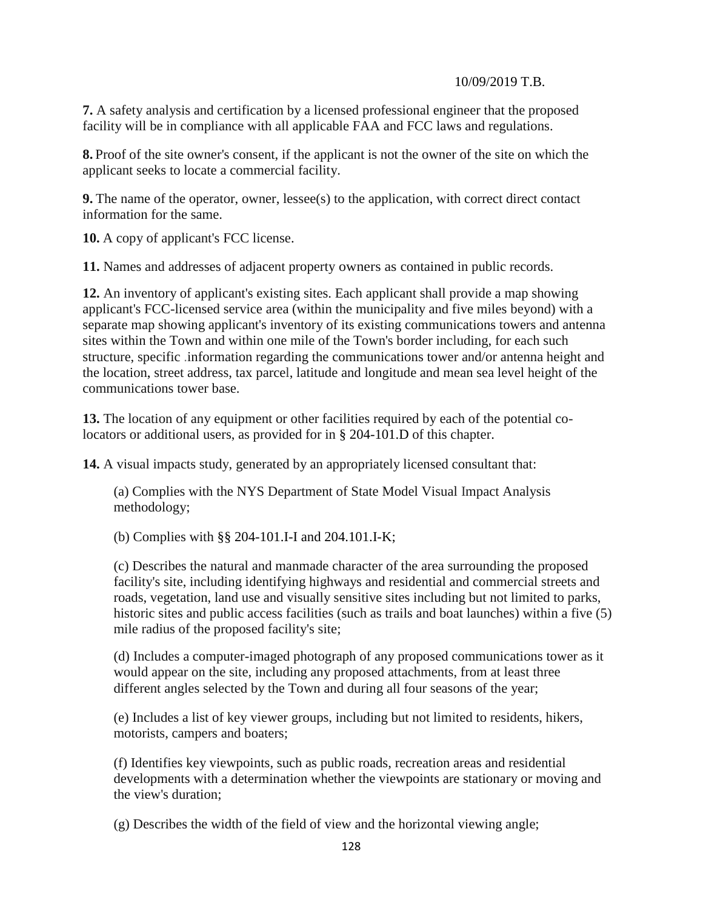**7.** A safety analysis and certification by a licensed professional engineer that the proposed facility will be in compliance with all applicable FAA and FCC laws and regulations.

**8.** Proof of the site owner's consent, if the applicant is not the owner of the site on which the applicant seeks to locate a commercial facility.

**9.** The name of the operator, owner, lessee(s) to the application, with correct direct contact information for the same.

**10.** A copy of applicant's FCC license.

**11.** Names and addresses of adjacent property owners as contained in public records.

**12.** An inventory of applicant's existing sites. Each applicant shall provide a map showing applicant's FCC-licensed service area (within the municipality and five miles beyond) with a separate map showing applicant's inventory of its existing communications towers and antenna sites within the Town and within one mile of the Town's border including, for each such structure, specific .information regarding the communications tower and/or antenna height and the location, street address, tax parcel, latitude and longitude and mean sea level height of the communications tower base.

**13.** The location of any equipment or other facilities required by each of the potential colocators or additional users, as provided for in § 204-101.D of this chapter.

**14.** A visual impacts study, generated by an appropriately licensed consultant that:

(a) Complies with the NYS Department of State Model Visual Impact Analysis methodology;

(b) Complies with §§ 204-101.I-I and 204.101.I-K;

(c) Describes the natural and manmade character of the area surrounding the proposed facility's site, including identifying highways and residential and commercial streets and roads, vegetation, land use and visually sensitive sites including but not limited to parks, historic sites and public access facilities (such as trails and boat launches) within a five (5) mile radius of the proposed facility's site;

(d) Includes a computer-imaged photograph of any proposed communications tower as it would appear on the site, including any proposed attachments, from at least three different angles selected by the Town and during all four seasons of the year;

(e) Includes a list of key viewer groups, including but not limited to residents, hikers, motorists, campers and boaters;

(f) Identifies key viewpoints, such as public roads, recreation areas and residential developments with a determination whether the viewpoints are stationary or moving and the view's duration;

(g) Describes the width of the field of view and the horizontal viewing angle;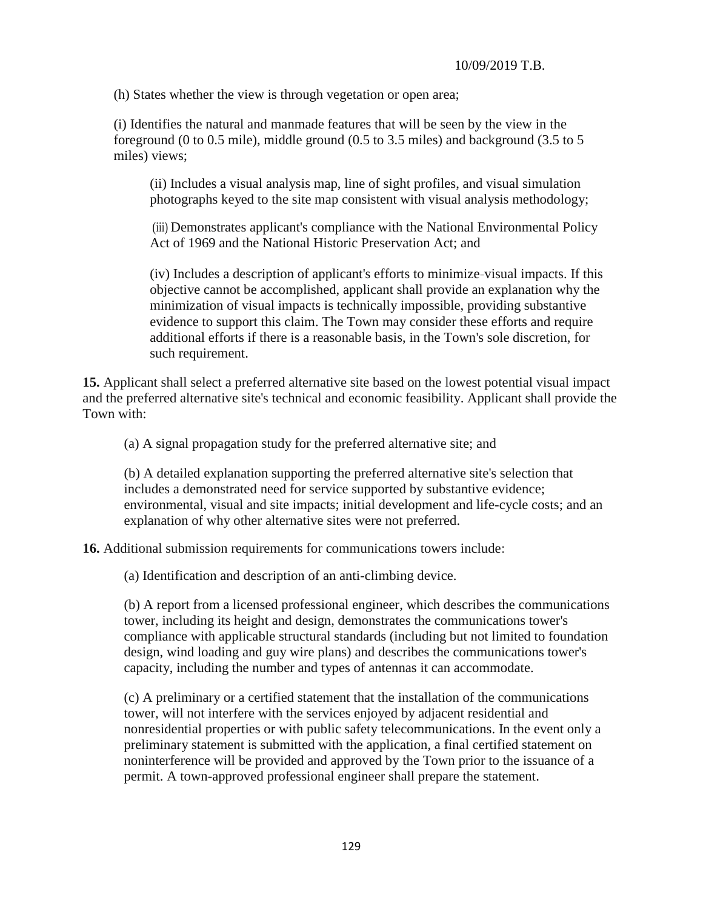(h) States whether the view is through vegetation or open area;

(i) Identifies the natural and manmade features that will be seen by the view in the foreground (0 to 0.5 mile), middle ground (0.5 to 3.5 miles) and background (3.5 to 5 miles) views;

(ii) Includes a visual analysis map, line of sight profiles, and visual simulation photographs keyed to the site map consistent with visual analysis methodology;

(iii) Demonstrates applicant's compliance with the National Environmental Policy Act of 1969 and the National Historic Preservation Act; and

(iv) Includes a description of applicant's efforts to minimize-visual impacts. If this objective cannot be accomplished, applicant shall provide an explanation why the minimization of visual impacts is technically impossible, providing substantive evidence to support this claim. The Town may consider these efforts and require additional efforts if there is a reasonable basis, in the Town's sole discretion, for such requirement.

**15.** Applicant shall select a preferred alternative site based on the lowest potential visual impact and the preferred alternative site's technical and economic feasibility. Applicant shall provide the Town with:

(a) A signal propagation study for the preferred alternative site; and

(b) A detailed explanation supporting the preferred alternative site's selection that includes a demonstrated need for service supported by substantive evidence; environmental, visual and site impacts; initial development and life-cycle costs; and an explanation of why other alternative sites were not preferred.

**16.** Additional submission requirements for communications towers include:

(a) Identification and description of an anti-climbing device.

(b) A report from a licensed professional engineer, which describes the communications tower, including its height and design, demonstrates the communications tower's compliance with applicable structural standards (including but not limited to foundation design, wind loading and guy wire plans) and describes the communications tower's capacity, including the number and types of antennas it can accommodate.

(c) A preliminary or a certified statement that the installation of the communications tower, will not interfere with the services enjoyed by adjacent residential and nonresidential properties or with public safety telecommunications. In the event only a preliminary statement is submitted with the application, a final certified statement on noninterference will be provided and approved by the Town prior to the issuance of a permit. A town-approved professional engineer shall prepare the statement.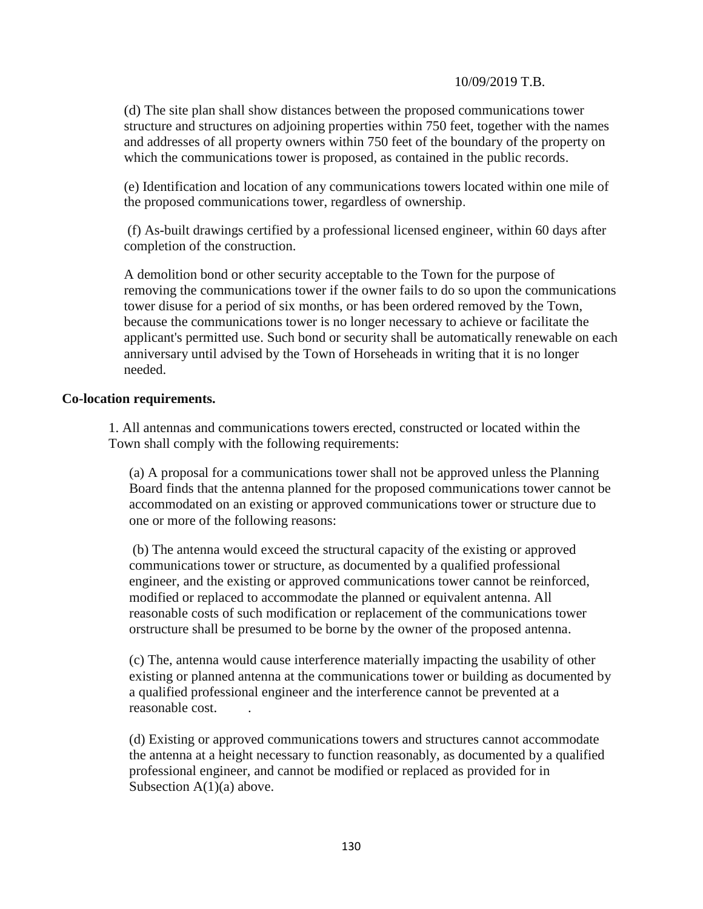(d) The site plan shall show distances between the proposed communications tower structure and structures on adjoining properties within 750 feet, together with the names and addresses of all property owners within 750 feet of the boundary of the property on which the communications tower is proposed, as contained in the public records.

(e) Identification and location of any communications towers located within one mile of the proposed communications tower, regardless of ownership.

(f) As-built drawings certified by a professional licensed engineer, within 60 days after completion of the construction.

A demolition bond or other security acceptable to the Town for the purpose of removing the communications tower if the owner fails to do so upon the communications tower disuse for a period of six months, or has been ordered removed by the Town, because the communications tower is no longer necessary to achieve or facilitate the applicant's permitted use. Such bond or security shall be automatically renewable on each anniversary until advised by the Town of Horseheads in writing that it is no longer needed.

#### **Co-location requirements.**

1. All antennas and communications towers erected, constructed or located within the Town shall comply with the following requirements:

(a) A proposal for a communications tower shall not be approved unless the Planning Board finds that the antenna planned for the proposed communications tower cannot be accommodated on an existing or approved communications tower or structure due to one or more of the following reasons:

(b) The antenna would exceed the structural capacity of the existing or approved communications tower or structure, as documented by a qualified professional engineer, and the existing or approved communications tower cannot be reinforced, modified or replaced to accommodate the planned or equivalent antenna. All reasonable costs of such modification or replacement of the communications tower orstructure shall be presumed to be borne by the owner of the proposed antenna.

(c) The, antenna would cause interference materially impacting the usability of other existing or planned antenna at the communications tower or building as documented by a qualified professional engineer and the interference cannot be prevented at a reasonable cost. .

(d) Existing or approved communications towers and structures cannot accommodate the antenna at a height necessary to function reasonably, as documented by a qualified professional engineer, and cannot be modified or replaced as provided for in Subsection  $A(1)(a)$  above.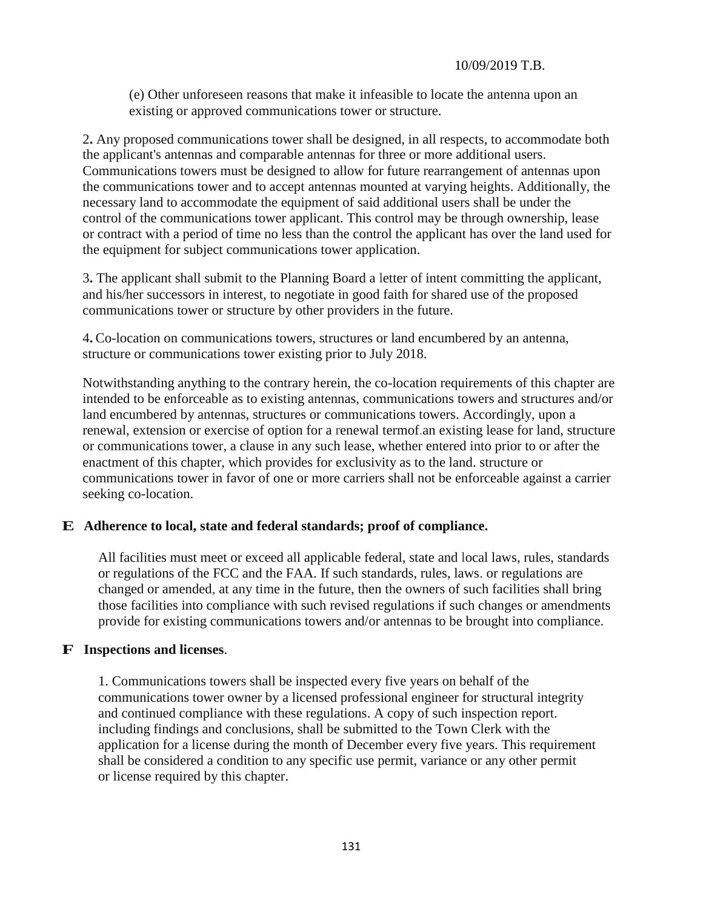(e) Other unforeseen reasons that make it infeasible to locate the antenna upon an existing or approved communications tower or structure.

2**.** Any proposed communications tower shall be designed, in all respects, to accommodate both the applicant's antennas and comparable antennas for three or more additional users. Communications towers must be designed to allow for future rearrangement of antennas upon the communications tower and to accept antennas mounted at varying heights. Additionally, the necessary land to accommodate the equipment of said additional users shall be under the control of the communications tower applicant. This control may be through ownership, lease or contract with a period of time no less than the control the applicant has over the land used for the equipment for subject communications tower application.

3**.** The applicant shall submit to the Planning Board a letter of intent committing the applicant, and his/her successors in interest, to negotiate in good faith for shared use of the proposed communications tower or structure by other providers in the future.

4**.** Co-location on communications towers, structures or land encumbered by an antenna, structure or communications tower existing prior to July 2018.

Notwithstanding anything to the contrary herein, the co-location requirements of this chapter are intended to be enforceable as to existing antennas, communications towers and structures and/or land encumbered by antennas, structures or communications towers. Accordingly, upon a renewal, extension or exercise of option for a renewal termof.an existing lease for land, structure or communications tower, a clause in any such lease, whether entered into prior to or after the enactment of this chapter, which provides for exclusivity as to the land. structure or communications tower in favor of one or more carriers shall not be enforceable against a carrier seeking co-location.

### **E Adherence to local, state and federal standards; proof of compliance.**

All facilities must meet or exceed all applicable federal, state and local laws, rules, standards or regulations of the FCC and the FAA. If such standards, rules, laws. or regulations are changed or amended, at any time in the future, then the owners of such facilities shall bring those facilities into compliance with such revised regulations if such changes or amendments provide for existing communications towers and/or antennas to be brought into compliance.

#### **F Inspections and licenses**.

1. Communications towers shall be inspected every five years on behalf of the communications tower owner by a licensed professional engineer for structural integrity and continued compliance with these regulations. A copy of such inspection report. including findings and conclusions, shall be submitted to the Town Clerk with the application for a license during the month of December every five years. This requirement shall be considered a condition to any specific use permit, variance or any other permit or license required by this chapter.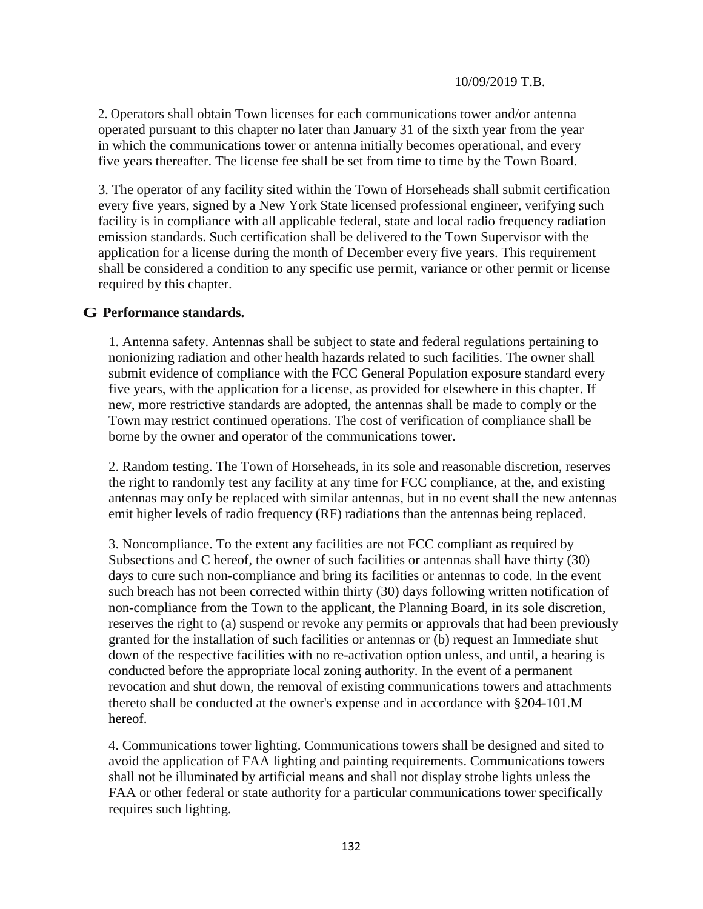2. Operators shall obtain Town licenses for each communications tower and/or antenna operated pursuant to this chapter no later than January 31 of the sixth year from the year in which the communications tower or antenna initially becomes operational, and every five years thereafter. The license fee shall be set from time to time by the Town Board.

3. The operator of any facility sited within the Town of Horseheads shall submit certification every five years, signed by a New York State licensed professional engineer, verifying such facility is in compliance with all applicable federal, state and local radio frequency radiation emission standards. Such certification shall be delivered to the Town Supervisor with the application for a license during the month of December every five years. This requirement shall be considered a condition to any specific use permit, variance or other permit or license required by this chapter.

### **G Performance standards.**

1. Antenna safety. Antennas shall be subject to state and federal regulations pertaining to nonionizing radiation and other health hazards related to such facilities. The owner shall submit evidence of compliance with the FCC General Population exposure standard every five years, with the application for a license, as provided for elsewhere in this chapter. If new, more restrictive standards are adopted, the antennas shall be made to comply or the Town may restrict continued operations. The cost of verification of compliance shall be borne by the owner and operator of the communications tower.

2. Random testing. The Town of Horseheads, in its sole and reasonable discretion, reserves the right to randomly test any facility at any time for FCC compliance, at the, and existing antennas may onIy be replaced with similar antennas, but in no event shall the new antennas emit higher levels of radio frequency (RF) radiations than the antennas being replaced.

3. Noncompliance. To the extent any facilities are not FCC compliant as required by Subsections and C hereof, the owner of such facilities or antennas shall have thirty (30) days to cure such non-compliance and bring its facilities or antennas to code. In the event such breach has not been corrected within thirty (30) days following written notification of non-compliance from the Town to the applicant, the Planning Board, in its sole discretion, reserves the right to (a) suspend or revoke any permits or approvals that had been previously granted for the installation of such facilities or antennas or (b) request an Immediate shut down of the respective facilities with no re-activation option unless, and until, a hearing is conducted before the appropriate local zoning authority. In the event of a permanent revocation and shut down, the removal of existing communications towers and attachments thereto shall be conducted at the owner's expense and in accordance with §204-101.M hereof.

4. Communications tower lighting. Communications towers shall be designed and sited to avoid the application of FAA lighting and painting requirements. Communications towers shall not be illuminated by artificial means and shall not display strobe lights unless the FAA or other federal or state authority for a particular communications tower specifically requires such lighting.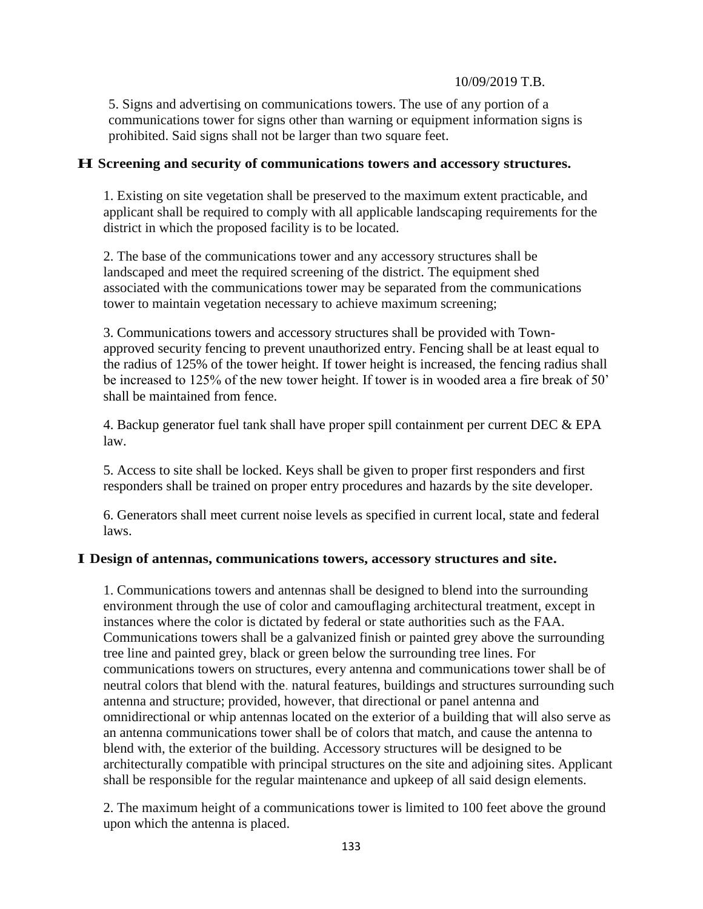5. Signs and advertising on communications towers. The use of any portion of a communications tower for signs other than warning or equipment information signs is prohibited. Said signs shall not be larger than two square feet.

## **H Screening and security of communications towers and accessory structures.**

1. Existing on site vegetation shall be preserved to the maximum extent practicable, and applicant shall be required to comply with all applicable landscaping requirements for the district in which the proposed facility is to be located.

2. The base of the communications tower and any accessory structures shall be landscaped and meet the required screening of the district. The equipment shed associated with the communications tower may be separated from the communications tower to maintain vegetation necessary to achieve maximum screening;

3. Communications towers and accessory structures shall be provided with Townapproved security fencing to prevent unauthorized entry. Fencing shall be at least equal to the radius of 125% of the tower height. If tower height is increased, the fencing radius shall be increased to 125% of the new tower height. If tower is in wooded area a fire break of 50' shall be maintained from fence.

4. Backup generator fuel tank shall have proper spill containment per current DEC & EPA law.

5. Access to site shall be locked. Keys shall be given to proper first responders and first responders shall be trained on proper entry procedures and hazards by the site developer.

6. Generators shall meet current noise levels as specified in current local, state and federal laws.

### **I Design of antennas, communications towers, accessory structures and site.**

1. Communications towers and antennas shall be designed to blend into the surrounding environment through the use of color and camouflaging architectural treatment, except in instances where the color is dictated by federal or state authorities such as the FAA. Communications towers shall be a galvanized finish or painted grey above the surrounding tree line and painted grey, black or green below the surrounding tree lines. For communications towers on structures, every antenna and communications tower shall be of neutral colors that blend with the. natural features, buildings and structures surrounding such antenna and structure; provided, however, that directional or panel antenna and omnidirectional or whip antennas located on the exterior of a building that will also serve as an antenna communications tower shall be of colors that match, and cause the antenna to blend with, the exterior of the building. Accessory structures will be designed to be architecturally compatible with principal structures on the site and adjoining sites. Applicant shall be responsible for the regular maintenance and upkeep of all said design elements.

2. The maximum height of a communications tower is limited to 100 feet above the ground upon which the antenna is placed.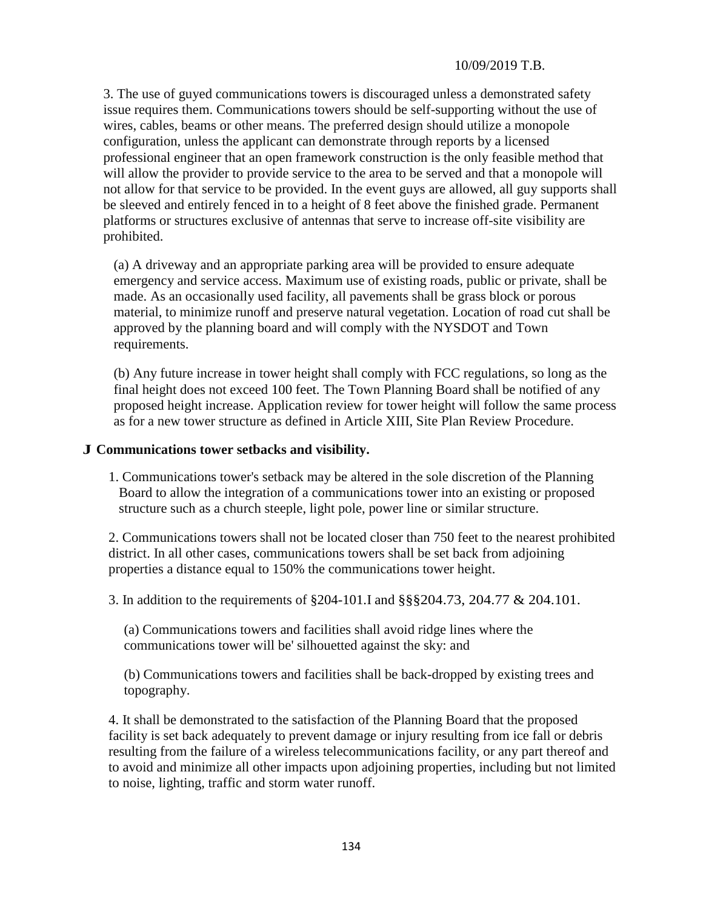3. The use of guyed communications towers is discouraged unless a demonstrated safety issue requires them. Communications towers should be self-supporting without the use of wires, cables, beams or other means. The preferred design should utilize a monopole configuration, unless the applicant can demonstrate through reports by a licensed professional engineer that an open framework construction is the only feasible method that will allow the provider to provide service to the area to be served and that a monopole will not allow for that service to be provided. In the event guys are allowed, all guy supports shall be sleeved and entirely fenced in to a height of 8 feet above the finished grade. Permanent platforms or structures exclusive of antennas that serve to increase off-site visibility are prohibited.

(a) A driveway and an appropriate parking area will be provided to ensure adequate emergency and service access. Maximum use of existing roads, public or private, shall be made. As an occasionally used facility, all pavements shall be grass block or porous material, to minimize runoff and preserve natural vegetation. Location of road cut shall be approved by the planning board and will comply with the NYSDOT and Town requirements.

(b) Any future increase in tower height shall comply with FCC regulations, so long as the final height does not exceed 100 feet. The Town Planning Board shall be notified of any proposed height increase. Application review for tower height will follow the same process as for a new tower structure as defined in Article XIII, Site Plan Review Procedure.

#### **J Communications tower setbacks and visibility.**

1. Communications tower's setback may be altered in the sole discretion of the Planning Board to allow the integration of a communications tower into an existing or proposed structure such as a church steeple, light pole, power line or similar structure.

2. Communications towers shall not be located closer than 750 feet to the nearest prohibited district. In all other cases, communications towers shall be set back from adjoining properties a distance equal to 150% the communications tower height.

3. In addition to the requirements of §204-101.I and §§§204.73, 204.77 & 204.101.

(a) Communications towers and facilities shall avoid ridge lines where the communications tower will be' silhouetted against the sky: and

(b) Communications towers and facilities shall be back-dropped by existing trees and topography.

4. It shall be demonstrated to the satisfaction of the Planning Board that the proposed facility is set back adequately to prevent damage or injury resulting from ice fall or debris resulting from the failure of a wireless telecommunications facility, or any part thereof and to avoid and minimize all other impacts upon adjoining properties, including but not limited to noise, lighting, traffic and storm water runoff.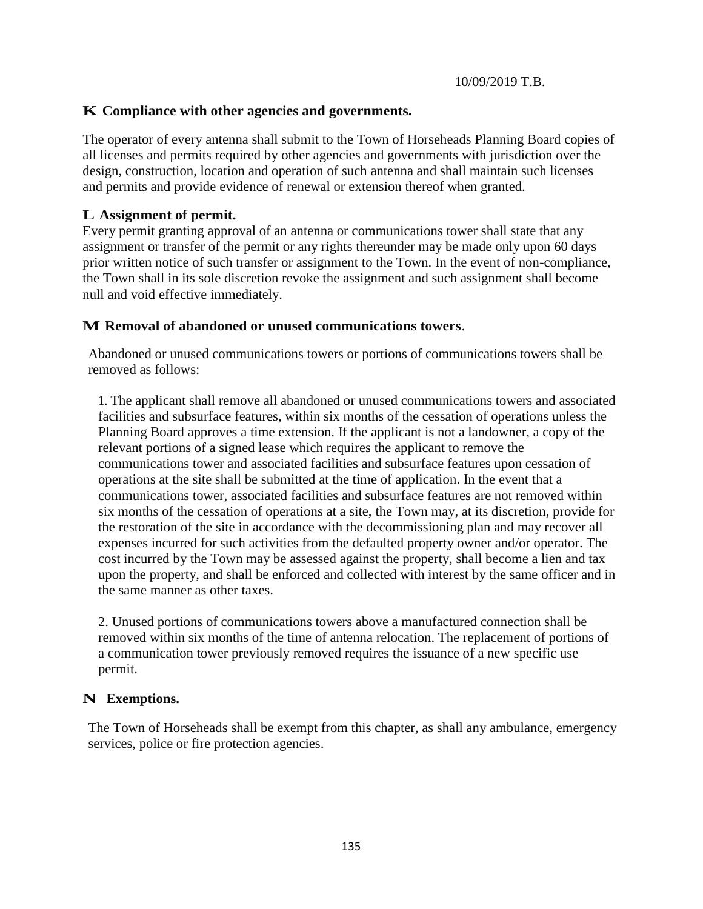## **K Compliance with other agencies and governments.**

The operator of every antenna shall submit to the Town of Horseheads Planning Board copies of all licenses and permits required by other agencies and governments with jurisdiction over the design, construction, location and operation of such antenna and shall maintain such licenses and permits and provide evidence of renewal or extension thereof when granted.

## **L Assignment of permit.**

Every permit granting approval of an antenna or communications tower shall state that any assignment or transfer of the permit or any rights thereunder may be made only upon 60 days prior written notice of such transfer or assignment to the Town. In the event of non-compliance, the Town shall in its sole discretion revoke the assignment and such assignment shall become null and void effective immediately.

## **M Removal of abandoned or unused communications towers**.

Abandoned or unused communications towers or portions of communications towers shall be removed as follows:

1. The applicant shall remove all abandoned or unused communications towers and associated facilities and subsurface features, within six months of the cessation of operations unless the Planning Board approves a time extension. If the applicant is not a landowner, a copy of the relevant portions of a signed lease which requires the applicant to remove the communications tower and associated facilities and subsurface features upon cessation of operations at the site shall be submitted at the time of application. In the event that a communications tower, associated facilities and subsurface features are not removed within six months of the cessation of operations at a site, the Town may, at its discretion, provide for the restoration of the site in accordance with the decommissioning plan and may recover all expenses incurred for such activities from the defaulted property owner and/or operator. The cost incurred by the Town may be assessed against the property, shall become a lien and tax upon the property, and shall be enforced and collected with interest by the same officer and in the same manner as other taxes.

2. Unused portions of communications towers above a manufactured connection shall be removed within six months of the time of antenna relocation. The replacement of portions of a communication tower previously removed requires the issuance of a new specific use permit.

## **N Exemptions.**

The Town of Horseheads shall be exempt from this chapter, as shall any ambulance, emergency services, police or fire protection agencies.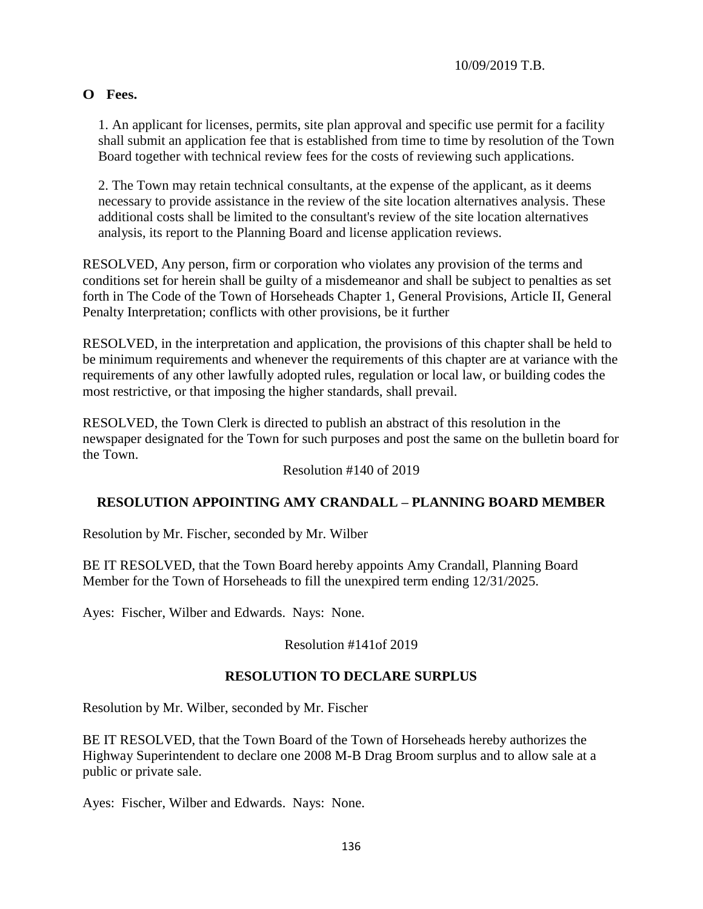# **O Fees.**

1. An applicant for licenses, permits, site plan approval and specific use permit for a facility shall submit an application fee that is established from time to time by resolution of the Town Board together with technical review fees for the costs of reviewing such applications.

2. The Town may retain technical consultants, at the expense of the applicant, as it deems necessary to provide assistance in the review of the site location alternatives analysis. These additional costs shall be limited to the consultant's review of the site location alternatives analysis, its report to the Planning Board and license application reviews.

RESOLVED, Any person, firm or corporation who violates any provision of the terms and conditions set for herein shall be guilty of a misdemeanor and shall be subject to penalties as set forth in The Code of the Town of Horseheads Chapter 1, General Provisions, Article II, General Penalty Interpretation; conflicts with other provisions, be it further

RESOLVED, in the interpretation and application, the provisions of this chapter shall be held to be minimum requirements and whenever the requirements of this chapter are at variance with the requirements of any other lawfully adopted rules, regulation or local law, or building codes the most restrictive, or that imposing the higher standards, shall prevail.

RESOLVED, the Town Clerk is directed to publish an abstract of this resolution in the newspaper designated for the Town for such purposes and post the same on the bulletin board for the Town.

Resolution #140 of 2019

## **RESOLUTION APPOINTING AMY CRANDALL – PLANNING BOARD MEMBER**

Resolution by Mr. Fischer, seconded by Mr. Wilber

BE IT RESOLVED, that the Town Board hereby appoints Amy Crandall, Planning Board Member for the Town of Horseheads to fill the unexpired term ending 12/31/2025.

Ayes: Fischer, Wilber and Edwards. Nays: None.

Resolution #141of 2019

## **RESOLUTION TO DECLARE SURPLUS**

Resolution by Mr. Wilber, seconded by Mr. Fischer

BE IT RESOLVED, that the Town Board of the Town of Horseheads hereby authorizes the Highway Superintendent to declare one 2008 M-B Drag Broom surplus and to allow sale at a public or private sale.

Ayes: Fischer, Wilber and Edwards. Nays: None.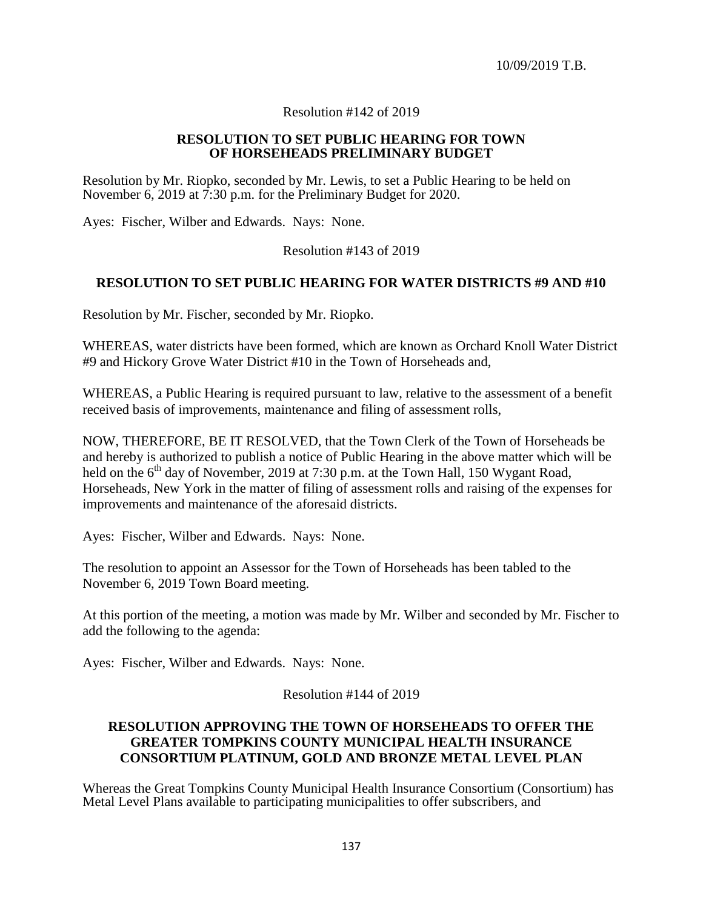### Resolution #142 of 2019

#### **RESOLUTION TO SET PUBLIC HEARING FOR TOWN OF HORSEHEADS PRELIMINARY BUDGET**

Resolution by Mr. Riopko, seconded by Mr. Lewis, to set a Public Hearing to be held on November 6, 2019 at 7:30 p.m. for the Preliminary Budget for 2020.

Ayes: Fischer, Wilber and Edwards. Nays: None.

Resolution #143 of 2019

### **RESOLUTION TO SET PUBLIC HEARING FOR WATER DISTRICTS #9 AND #10**

Resolution by Mr. Fischer, seconded by Mr. Riopko.

WHEREAS, water districts have been formed, which are known as Orchard Knoll Water District #9 and Hickory Grove Water District #10 in the Town of Horseheads and,

WHEREAS, a Public Hearing is required pursuant to law, relative to the assessment of a benefit received basis of improvements, maintenance and filing of assessment rolls,

NOW, THEREFORE, BE IT RESOLVED, that the Town Clerk of the Town of Horseheads be and hereby is authorized to publish a notice of Public Hearing in the above matter which will be held on the  $6<sup>th</sup>$  day of November, 2019 at 7:30 p.m. at the Town Hall, 150 Wygant Road, Horseheads, New York in the matter of filing of assessment rolls and raising of the expenses for improvements and maintenance of the aforesaid districts.

Ayes: Fischer, Wilber and Edwards. Nays: None.

The resolution to appoint an Assessor for the Town of Horseheads has been tabled to the November 6, 2019 Town Board meeting.

At this portion of the meeting, a motion was made by Mr. Wilber and seconded by Mr. Fischer to add the following to the agenda:

Ayes: Fischer, Wilber and Edwards. Nays: None.

Resolution #144 of 2019

## **RESOLUTION APPROVING THE TOWN OF HORSEHEADS TO OFFER THE GREATER TOMPKINS COUNTY MUNICIPAL HEALTH INSURANCE CONSORTIUM PLATINUM, GOLD AND BRONZE METAL LEVEL PLAN**

Whereas the Great Tompkins County Municipal Health Insurance Consortium (Consortium) has Metal Level Plans available to participating municipalities to offer subscribers, and